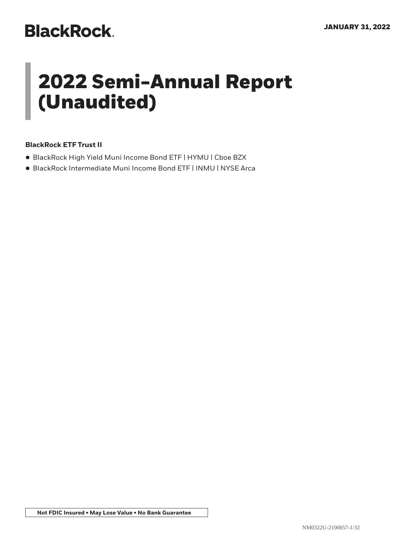## **BlackRock.**

# **2022 Semi-Annual Report (Unaudited)**

### **BlackRock ETF Trust II**

- BlackRock High Yield Muni Income Bond ETF | HYMU | Cboe BZX
- BlackRock Intermediate Muni Income Bond ETF | INMU | NYSE Arca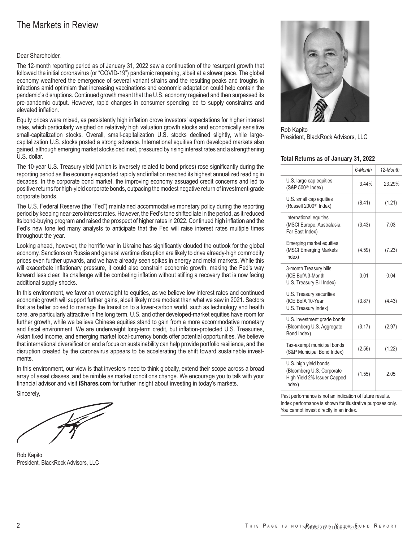### The Markets in Review

#### Dear Shareholder,

The 12-month reporting period as of January 31, 2022 saw a continuation of the resurgent growth that followed the initial coronavirus (or "COVID-19") pandemic reopening, albeit at a slower pace. The global economy weathered the emergence of several variant strains and the resulting peaks and troughs in infections amid optimism that increasing vaccinations and economic adaptation could help contain the pandemic's disruptions. Continued growth meant that the U.S. economy regained and then surpassed its pre-pandemic output. However, rapid changes in consumer spending led to supply constraints and elevated inflation.

Equity prices were mixed, as persistently high inflation drove investors' expectations for higher interest rates, which particularly weighed on relatively high valuation growth stocks and economically sensitive small-capitalization stocks. Overall, small-capitalization U.S. stocks declined slightly, while largecapitalization U.S. stocks posted a strong advance. International equities from developed markets also gained, although emerging market stocks declined, pressured by rising interest rates and a strengthening U.S. dollar.

The 10-year U.S. Treasury yield (which is inversely related to bond prices) rose significantly during the reporting period as the economy expanded rapidly and inflation reached its highest annualized reading in decades. In the corporate bond market, the improving economy assuaged credit concerns and led to positive returns for high-yield corporate bonds, outpacing the modest negative return of investment-grade corporate bonds.

The U.S. Federal Reserve (the "Fed") maintained accommodative monetary policy during the reporting period by keeping near-zero interest rates. However, the Fed's tone shifted late in the period, as it reduced its bond-buying program and raised the prospect of higher rates in 2022. Continued high inflation and the Fed's new tone led many analysts to anticipate that the Fed will raise interest rates multiple times throughout the year.

Looking ahead, however, the horrific war in Ukraine has significantly clouded the outlook for the global economy. Sanctions on Russia and general wartime disruption are likely to drive already-high commodity prices even further upwards, and we have already seen spikes in energy and metal markets. While this will exacerbate inflationary pressure, it could also constrain economic growth, making the Fed's way forward less clear. Its challenge will be combating inflation without stifling a recovery that is now facing additional supply shocks.

In this environment, we favor an overweight to equities, as we believe low interest rates and continued economic growth will support further gains, albeit likely more modest than what we saw in 2021. Sectors that are better poised to manage the transition to a lower-carbon world, such as technology and health care, are particularly attractive in the long term. U.S. and other developed-market equities have room for further growth, while we believe Chinese equities stand to gain from a more accommodative monetary and fiscal environment. We are underweight long-term credit, but inflation-protected U.S. Treasuries, Asian fixed income, and emerging market local-currency bonds offer potential opportunities. We believe that international diversification and a focus on sustainability can help provide portfolio resilience, and the disruption created by the coronavirus appears to be accelerating the shift toward sustainable investments.

In this environment, our view is that investors need to think globally, extend their scope across a broad array of asset classes, and be nimble as market conditions change. We encourage you to talk with your financial advisor and visit **iShares.com** for further insight about investing in today's markets.

Sincerely,

Rob Kapito President, BlackRock Advisors, LLC



Rob Kapito President, BlackRock Advisors, LLC

#### **Total Returns as of January 31, 2022**

|                                                                                             | 6-Month | 12-Month |
|---------------------------------------------------------------------------------------------|---------|----------|
| U.S. large cap equities<br>(S&P 500 <sup>®</sup> Index)                                     | 344%    | 23.29%   |
| U.S. small cap equities<br>(Russell 2000 <sup>®</sup> Index)                                | (8.41)  | (1.21)   |
| International equities<br>(MSCI Europe, Australasia,<br>Far East Index)                     | (3.43)  | 7.03     |
| <b>Emerging market equities</b><br>(MSCI Emerging Markets<br>Index)                         | (4.59)  | (7.23)   |
| 3-month Treasury bills<br>(ICE BofA 3-Month<br>U.S. Treasury Bill Index)                    | 0.01    | 0.04     |
| U.S. Treasury securities<br>(ICE BofA 10-Year<br>U.S. Treasury Index)                       | (3.87)  | (4.43)   |
| U.S. investment grade bonds<br>(Bloomberg U.S. Aggregate<br>Bond Index)                     | (3.17)  | (2.97)   |
| Tax-exempt municipal bonds<br>(S&P Municipal Bond Index)                                    | (2.56)  | (1.22)   |
| U.S. high yield bonds<br>(Bloomberg U.S. Corporate<br>High Yield 2% Issuer Capped<br>Index) | (1.55)  | 2.05     |

Past performance is not an indication of future results. Index performance is shown for illustrative purposes only. You cannot invest directly in an index.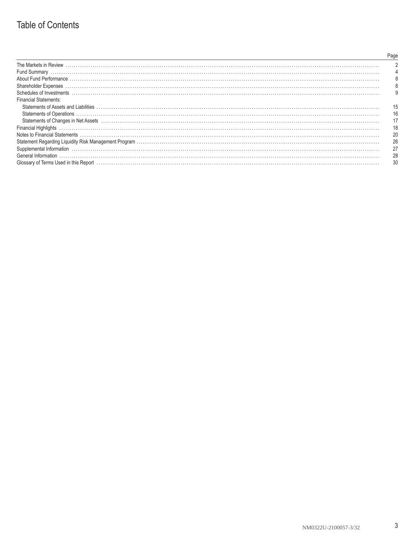### **Table of Contents**

|                                                                                                                                                                                                                                | Page |
|--------------------------------------------------------------------------------------------------------------------------------------------------------------------------------------------------------------------------------|------|
|                                                                                                                                                                                                                                |      |
|                                                                                                                                                                                                                                |      |
|                                                                                                                                                                                                                                | 8    |
|                                                                                                                                                                                                                                |      |
|                                                                                                                                                                                                                                |      |
| <b>Financial Statements:</b>                                                                                                                                                                                                   |      |
| Statements of Assets and Liabilities with conservative conservative conservative conservative conservative conservative conservative conservative conservative conservative conservative conservative conservative conservativ |      |
|                                                                                                                                                                                                                                | 16   |
|                                                                                                                                                                                                                                |      |
|                                                                                                                                                                                                                                |      |
|                                                                                                                                                                                                                                |      |
|                                                                                                                                                                                                                                | 26   |
| Supplemental Information                                                                                                                                                                                                       | 27   |
|                                                                                                                                                                                                                                |      |
| Glossary of Terms Used in this Report (a) reconstruction and contact the control of the control of the control of the control of the control of the control of the control of the control of the control of the control of the |      |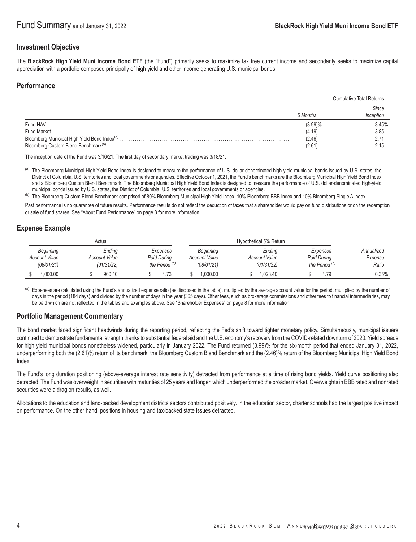#### **Investment Objective**

The **BlackRock High Yield Muni Income Bond ETF** (the "Fund") primarily seeks to maximize tax free current income and secondarily seeks to maximize capital appreciation with a portfolio composed principally of high yield and other income generating U.S. municipal bonds.

#### **Performance**

|             |          | <b>Cumulative Total Returns</b> |
|-------------|----------|---------------------------------|
|             | 6 Months |                                 |
| Fund NAV    | 3.99%    | } 45%                           |
| Fund Market | (4.19)   | 3.85                            |
|             | (2.46)   |                                 |
|             |          |                                 |

The inception date of the Fund was 3/16/21. The first day of secondary market trading was 3/18/21.

(a) The Bloomberg Municipal High Yield Bond Index is designed to measure the performance of U.S. dollar-denominated high-yield municipal bonds issued by U.S. states, the District of Columbia, U.S. territories and local governments or agencies. Effective October 1, 2021, the Fund's benchmarks are the Bloomberg Municipal High Yield Bond Index and a Bloomberg Custom Blend Benchmark. The Bloomberg Municipal High Yield Bond Index is designed to measure the performance of U.S. dollar-denominated high-yield municipal bonds issued by U.S. states, the District of Columbia, U.S. territories and local governments or agencies.

(b) The Bloomberg Custom Blend Benchmark comprised of 80% Bloomberg Municipal High Yield Index, 10% Bloomberg BBB Index and 10% Bloomberg Single A Index.

Past performance is no guarantee of future results. Performance results do not reflect the deduction of taxes that a shareholder would pay on fund distributions or on the redemption or sale of fund shares. See "About Fund Performance" on page 8 for more information.

#### **Expense Example**

|                      | Actual        |                |               | Hypothetical 5% Return |                           |            |
|----------------------|---------------|----------------|---------------|------------------------|---------------------------|------------|
| Beginning            | Ending        | Expenses       | Beginning     | Ending                 | Expenses                  | Annualized |
| <b>Account Value</b> | Account Value | Paid During    | Account Value | <b>Account Value</b>   | Paid During               | Expense    |
| (08/01/21)           | (01/31/22)    | the Period (a) | (08/01/21)    | (01/31/22)             | the Period <sup>(a)</sup> | Ratio      |
| .000.00              | 960.10        | 73ء ا          | .000.00       | .023.40                | 79،،                      | $0.35\%$   |

(a) Expenses are calculated using the Fund's annualized expense ratio (as disclosed in the table), multiplied by the average account value for the period, multiplied by the number of days in the period (184 days) and divided by the number of days in the year (365 days). Other fees, such as brokerage commissions and other fees to financial intermediaries, may be paid which are not reflected in the tables and examples above. See "Shareholder Expenses" on page 8 for more information.

#### **Portfolio Management Commentary**

The bond market faced significant headwinds during the reporting period, reflecting the Fed's shift toward tighter monetary policy. Simultaneously, municipal issuers continued to demonstrate fundamental strength thanks to substantial federal aid and the U.S. economy's recovery from the COVID-related downturn of 2020. Yield spreads for high yield municipal bonds nonetheless widened, particularly in January 2022. The Fund returned (3.99)% for the six-month period that ended January 31, 2022, underperforming both the (2.61)% return of its benchmark, the Bloomberg Custom Blend Benchmark and the (2.46)% return of the Bloomberg Municipal High Yield Bond Index.

The Fund's long duration positioning (above-average interest rate sensitivity) detracted from performance at a time of rising bond yields. Yield curve positioning also detracted. The Fund was overweight in securities with maturities of 25 years and longer, which underperformed the broader market. Overweights in BBB rated and nonrated securities were a drag on results, as well.

Allocations to the education and land-backed development districts sectors contributed positively. In the education sector, charter schools had the largest positive impact on performance. On the other hand, positions in housing and tax-backed state issues detracted.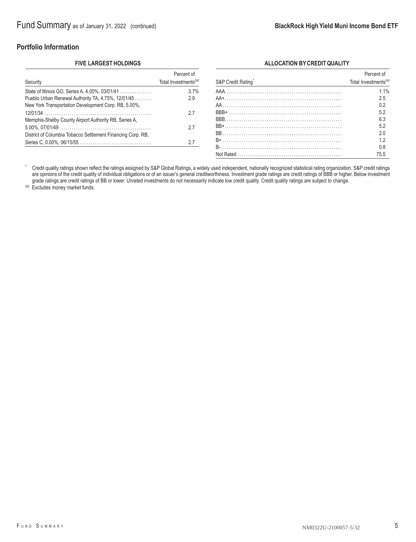#### **FIVE LARGEST HOLDINGS**

| Security                                                                                                   | Percent of<br>Total Investments <sup>(a)</sup> |
|------------------------------------------------------------------------------------------------------------|------------------------------------------------|
| State of Illinois GO. Series A. 4.00%, 03/01/41                                                            | 37%                                            |
| Pueblo Urban Renewal Authority TA, 4.75%, 12/01/45<br>New York Transportation Development Corp. RB, 5.00%, | 2.9                                            |
| Memphis-Shelby County Airport Authority RB, Series A.                                                      | 27                                             |
| District of Columbia Tobacco Settlement Financing Corp. RB,                                                | 27                                             |
|                                                                                                            | 27                                             |

#### **ALLOCATION BY CREDIT QUALITY**

| S&P Credit Rating <sup>*</sup> | Percent of<br>Total Investments <sup>(a)</sup> |
|--------------------------------|------------------------------------------------|
|                                | $11\%$                                         |
|                                | 25                                             |
|                                | 02                                             |
|                                | 52                                             |
|                                | 6.3                                            |
|                                | 52                                             |
|                                | 20                                             |
|                                | 12                                             |
|                                | 08                                             |
|                                | 75.5                                           |

\* Credit quality ratings shown reflect the ratings assigned by S&P Global Ratings, a widely used independent, nationally recognized statistical rating organization. S&P credit ratings are opinions of the credit quality of individual obligations or of an issuer's general creditworthiness. Investment grade ratings are credit ratings of BBB or higher. Below investment grade ratings are credit ratings of BB or lower. Unrated investments do not necessarily indicate low credit quality. Credit quality ratings are subject to change.

(a) Excludes money market funds.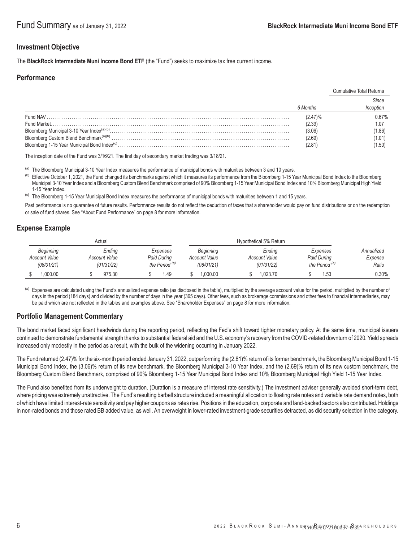### **Investment Objective**

The **BlackRock Intermediate Muni Income Bond ETF** (the "Fund") seeks to maximize tax free current income.

#### **Performance**

|                | Cumulative Total Returns. |
|----------------|---------------------------|
|                |                           |
|                | nception"                 |
| $(2.47)\%$     | በ 67%                     |
| 2.39)          |                           |
| $3.06^{\circ}$ | 1.86)                     |
| (2.69)         | 1.01.                     |
|                | . 50)                     |

The inception date of the Fund was 3/16/21. The first day of secondary market trading was 3/18/21.

(a) The Bloomberg Municipal 3-10 Year Index measures the performance of municipal bonds with maturities between 3 and 10 years.

(b) Effective October 1, 2021, the Fund changed its benchmarks against which it measures its performance from the Bloomberg 1-15 Year Municipal Bond Index to the Bloomberg Municipal 3-10 Year Index and a Bloomberg Custom Blend Benchmark comprised of 90% Bloomberg 1-15 Year Municipal Bond Index and 10% Bloomberg Municipal High Yield 1-15 Year Index.

(c) The Bloomberg 1-15 Year Municipal Bond Index measures the performance of municipal bonds with maturities between 1 and 15 years.

Past performance is no guarantee of future results. Performance results do not reflect the deduction of taxes that a shareholder would pay on fund distributions or on the redemption or sale of fund shares. See "About Fund Performance" on page 8 for more information.

### **Expense Example**

|                                                 | Actual                                |                                           |                                                 | Hypothetical 5% Return                       |                                                      |                                |
|-------------------------------------------------|---------------------------------------|-------------------------------------------|-------------------------------------------------|----------------------------------------------|------------------------------------------------------|--------------------------------|
| Beginning<br><b>Account Value</b><br>(08/01/21) | Ending<br>Account Value<br>(01/31/22) | Expenses<br>Paid During<br>the Period (a) | Beginning<br><b>Account Value</b><br>(08/01/21) | Ending<br><b>Account Value</b><br>(01/31/22) | Expenses<br>Paid During<br>the Period <sup>(a)</sup> | Annualized<br>Expense<br>Ratio |
| .000.00                                         | 975.30                                | .49                                       | .000.00                                         | 1.023.70                                     | . 53                                                 | 0.30%                          |

(a) Expenses are calculated using the Fund's annualized expense ratio (as disclosed in the table), multiplied by the average account value for the period, multiplied by the number of days in the period (184 days) and divided by the number of days in the year (365 days). Other fees, such as brokerage commissions and other fees to financial intermediaries, may be paid which are not reflected in the tables and examples above. See "Shareholder Expenses" on page 8 for more information.

#### **Portfolio Management Commentary**

The bond market faced significant headwinds during the reporting period, reflecting the Fed's shift toward tighter monetary policy. At the same time, municipal issuers continued to demonstrate fundamental strength thanks to substantial federal aid and the U.S. economy's recovery from the COVID-related downturn of 2020. Yield spreads increased only modestly in the period as a result, with the bulk of the widening occurring in January 2022.

The Fund returned (2.47)% for the six-month period ended January 31, 2022, outperforming the (2.81)% return of its former benchmark, the Bloomberg Municipal Bond 1-15 Municipal Bond Index, the (3.06)% return of its new benchmark, the Bloomberg Municipal 3-10 Year Index, and the (2.69)% return of its new custom benchmark, the Bloomberg Custom Blend Benchmark, comprised of 90% Bloomberg 1-15 Year Municipal Bond Index and 10% Bloomberg Municipal High Yield 1-15 Year Index.

The Fund also benefited from its underweight to duration. (Duration is a measure of interest rate sensitivity.) The investment adviser generally avoided short-term debt, where pricing was extremely unattractive. The Fund's resulting barbell structure included a meaningful allocation to floating rate notes and variable rate demand notes, both of which have limited interest-rate sensitivity and pay higher coupons as rates rise. Positions in the education, corporate and land-backed sectors also contributed. Holdings in non-rated bonds and those rated BB added value, as well. An overweight in lower-rated investment-grade securities detracted, as did security selection in the category.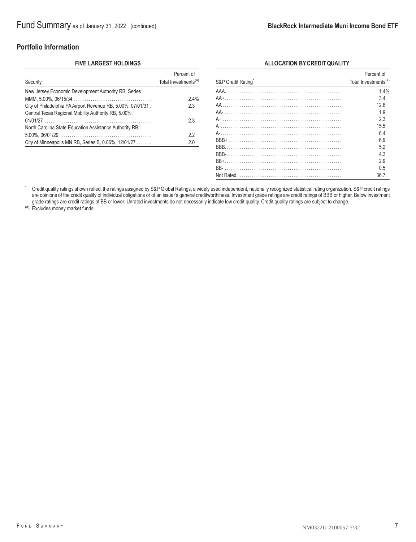### **Portfolio Information**

#### **FIVE LARGEST HOLDINGS**

|                                                              | Percent of                       |
|--------------------------------------------------------------|----------------------------------|
| Security                                                     | Total Investments <sup>(a)</sup> |
| New Jersey Economic Development Authority RB, Series         |                                  |
|                                                              | 24%                              |
| City of Philadelphia PA Airport Revenue RB, 5.00%, 07/01/31. | 2.3                              |
| Central Texas Regional Mobility Authority RB, 5.00%,         |                                  |
|                                                              | 23                               |
| North Carolina State Education Assistance Authority RB,      |                                  |
|                                                              | 22                               |
| City of Minneapolis MN RB, Series B, 0.06%, 12/01/27         | 2.0                              |

#### **ALLOCATION BY CREDIT QUALITY**

|                    | Percent of                       |
|--------------------|----------------------------------|
| S&P Credit Rating* | Total Investments <sup>(a)</sup> |
|                    | 14%                              |
|                    | 34                               |
|                    | 126                              |
|                    | 19                               |
|                    | 23                               |
|                    | 15.5                             |
|                    | 64                               |
|                    | 69                               |
|                    | 52                               |
|                    | 43                               |
|                    | 29                               |
|                    | 0.5                              |
|                    | 367                              |

\* Credit quality ratings shown reflect the ratings assigned by S&P Global Ratings, a widely used independent, nationally recognized statistical rating organization. S&P credit ratings are opinions of the credit quality of individual obligations or of an issuer's general creditworthiness. Investment grade ratings are credit ratings of BBB or higher. Below investment grade ratings are credit ratings of BB or lower. Unrated investments do not necessarily indicate low credit quality. Credit quality ratings are subject to change.

(a) Excludes money market funds.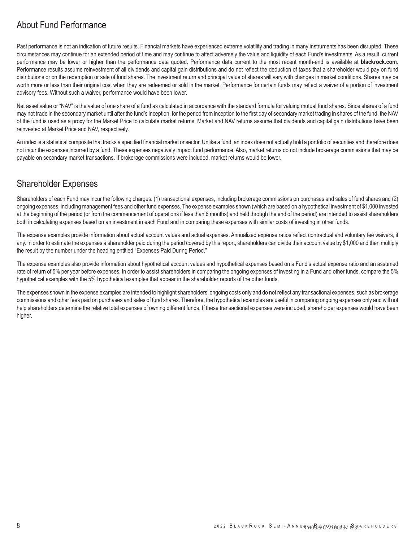### About Fund Performance

Past performance is not an indication of future results. Financial markets have experienced extreme volatility and trading in many instruments has been disrupted. These circumstances may continue for an extended period of time and may continue to affect adversely the value and liquidity of each Fund's investments. As a result, current performance may be lower or higher than the performance data quoted. Performance data current to the most recent month-end is available at **blackrock.com**. Performance results assume reinvestment of all dividends and capital gain distributions and do not reflect the deduction of taxes that a shareholder would pay on fund distributions or on the redemption or sale of fund shares. The investment return and principal value of shares will vary with changes in market conditions. Shares may be worth more or less than their original cost when they are redeemed or sold in the market. Performance for certain funds may reflect a waiver of a portion of investment advisory fees. Without such a waiver, performance would have been lower.

Net asset value or "NAV" is the value of one share of a fund as calculated in accordance with the standard formula for valuing mutual fund shares. Since shares of a fund may not trade in the secondary market until after the fund's inception, for the period from inception to the first day of secondary market trading in shares of the fund, the NAV of the fund is used as a proxy for the Market Price to calculate market returns. Market and NAV returns assume that dividends and capital gain distributions have been reinvested at Market Price and NAV, respectively.

An index is a statistical composite that tracks a specified financial market or sector. Unlike a fund, an index does not actually hold a portfolio of securities and therefore does not incur the expenses incurred by a fund. These expenses negatively impact fund performance. Also, market returns do not include brokerage commissions that may be payable on secondary market transactions. If brokerage commissions were included, market returns would be lower.

### Shareholder Expenses

Shareholders of each Fund may incur the following charges: (1) transactional expenses, including brokerage commissions on purchases and sales of fund shares and (2) ongoing expenses, including management fees and other fund expenses. The expense examples shown (which are based on a hypothetical investment of \$1,000 invested at the beginning of the period (or from the commencement of operations if less than 6 months) and held through the end of the period) are intended to assist shareholders both in calculating expenses based on an investment in each Fund and in comparing these expenses with similar costs of investing in other funds.

The expense examples provide information about actual account values and actual expenses. Annualized expense ratios reflect contractual and voluntary fee waivers, if any. In order to estimate the expenses a shareholder paid during the period covered by this report, shareholders can divide their account value by \$1,000 and then multiply the result by the number under the heading entitled "Expenses Paid During Period."

The expense examples also provide information about hypothetical account values and hypothetical expenses based on a Fund's actual expense ratio and an assumed rate of return of 5% per year before expenses. In order to assist shareholders in comparing the ongoing expenses of investing in a Fund and other funds, compare the 5% hypothetical examples with the 5% hypothetical examples that appear in the shareholder reports of the other funds.

The expenses shown in the expense examples are intended to highlight shareholders' ongoing costs only and do not reflect any transactional expenses, such as brokerage commissions and other fees paid on purchases and sales of fund shares. Therefore, the hypothetical examples are useful in comparing ongoing expenses only and will not help shareholders determine the relative total expenses of owning different funds. If these transactional expenses were included, shareholder expenses would have been higher.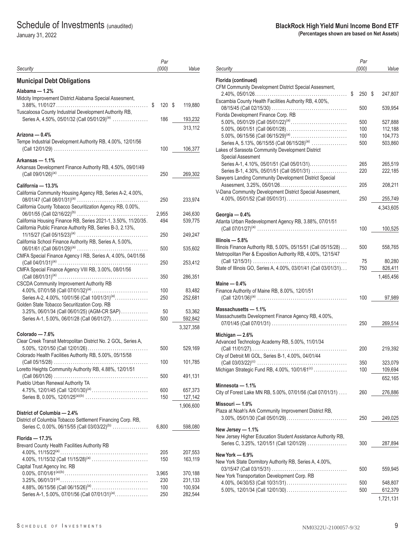### Schedule of Investments (unaudited)

January 31, 2022

|                                                                                                                    | Par        |                    |
|--------------------------------------------------------------------------------------------------------------------|------------|--------------------|
| Security                                                                                                           | (000)      | Value              |
| <b>Municipal Debt Obligations</b>                                                                                  |            |                    |
| Alabama - 1.2%                                                                                                     |            |                    |
| Midcity Improvement District Alabama Special Assesment,                                                            | 120<br>\$  | - \$<br>119,880    |
| Tuscaloosa County Industrial Development Authority RB,<br>Series A, 4.50%, 05/01/32 (Call 05/01/29) <sup>(a)</sup> | 186        | 193,232            |
|                                                                                                                    |            | 313,112            |
| Arizona - 0.4%                                                                                                     |            |                    |
| Tempe Industrial Development Authority RB, 4.00%, 12/01/56                                                         |            |                    |
|                                                                                                                    | 100        | 106,377            |
| Arkansas — 1.1%                                                                                                    |            |                    |
| Arkansas Development Finance Authority RB, 4.50%, 09/01/49                                                         |            |                    |
|                                                                                                                    | 250        | 269,302            |
| California - 13.3%                                                                                                 |            |                    |
| California Community Housing Agency RB, Series A-2, 4.00%,                                                         |            |                    |
| California County Tobacco Securitization Agency RB, 0.00%,                                                         | 250        | 233,974            |
|                                                                                                                    | 2,955      | 246,630            |
| California Housing Finance RB, Series 2021-1, 3.50%, 11/20/35.                                                     | 494        | 539,775            |
| California Public Finance Authority RB, Series B-3, 2.13%,                                                         |            |                    |
|                                                                                                                    | 250        | 249,247            |
| California School Finance Authority RB, Series A, 5.00%,                                                           | 500        |                    |
| CMFA Special Finance Agency I RB, Series A, 4.00%, 04/01/56                                                        |            | 535,602            |
|                                                                                                                    | 250        | 253,412            |
| CMFA Special Finance Agency VIII RB, 3.00%, 08/01/56                                                               |            |                    |
|                                                                                                                    | 350        | 286,351            |
| CSCDA Community Improvement Authority RB                                                                           | 100        | 83,482             |
| Series A-2, 4.00%, 10/01/56 (Call 10/01/31) <sup>(a)</sup>                                                         | 250        | 252,681            |
| Golden State Tobacco Securitization Corp. RB                                                                       |            |                    |
| 3.25%, 06/01/34 (Call 06/01/25) (AGM-CR SAP)                                                                       | 50         | 53,362             |
| Series A-1, 5.00%, 06/01/28 (Call 06/01/27)                                                                        | 500        | 592,842            |
|                                                                                                                    |            | 3,327,358          |
| Colorado - 7.6%<br>Clear Creek Transit Metropolitan District No. 2 GOL, Series A,                                  |            |                    |
| 5.00%, 12/01/50 (Call 12/01/26)                                                                                    | 500        | 529,169            |
| Colorado Health Facilities Authority RB, 5.00%, 05/15/58                                                           |            |                    |
|                                                                                                                    | 100        | 101,785            |
| Loretto Heights Community Authority RB, 4.88%, 12/01/51                                                            | 500        | 491,131            |
| Pueblo Urban Renewal Authority TA                                                                                  |            |                    |
| 4.75%, 12/01/45 (Call 12/01/30) <sup>(a)</sup>                                                                     | 600        | 657,373            |
|                                                                                                                    | 150        | 127,142            |
|                                                                                                                    |            | 1.906.600          |
| District of Columbia - 2.4%<br>District of Columbia Tobacco Settlement Financing Corp. RB,                         |            |                    |
| Series C, 0.00%, 06/15/55 (Call 03/03/22) <sup>(b)</sup>                                                           | 6,800      | 598,080            |
|                                                                                                                    |            |                    |
| Florida - 17.3%<br>Brevard County Health Facilities Authority RB                                                   |            |                    |
|                                                                                                                    | 205        | 207,553            |
|                                                                                                                    | 150        | 163,119            |
| Capital Trust Agency Inc. RB                                                                                       |            |                    |
|                                                                                                                    | 3,965      | 370,188            |
|                                                                                                                    | 230<br>100 | 231,133<br>100,934 |
| Series A-1, 5.00%, 07/01/56 (Call 07/01/31) <sup>(a)</sup>                                                         | 250        | 282,544            |

### **BlackRock High Yield Muni Income Bond ETF**

**(Percentages shown are based on Net Assets)**

|                                                                                | Par        |                    |
|--------------------------------------------------------------------------------|------------|--------------------|
| Security                                                                       | (000)      | Value              |
| Florida (continued)                                                            |            |                    |
| CFM Community Development District Special Assesment,                          |            |                    |
|                                                                                | 250<br>\$  | \$<br>247,807      |
| Escambia County Health Facilities Authority RB, 4.00%,                         |            |                    |
| Florida Development Finance Corp. RB                                           | 500        | 539,954            |
|                                                                                | 500        | 527,888            |
| 5.00%, 06/01/51 (Call 06/01/28)                                                | 100        | 112,188            |
|                                                                                | 100        | 104,773            |
| Series A, 5.13%, 06/15/55 (Call 06/15/28) <sup>(a)</sup>                       | 500        | 503,860            |
| Lakes of Sarasota Community Development District                               |            |                    |
| Special Assesment                                                              |            |                    |
| Series A-1, 4.10%, 05/01/51 (Call 05/01/31)                                    | 265        | 265,519            |
| Series B-1, 4.30%, 05/01/51 (Call 05/01/31)                                    | 220        | 222,185            |
| Sawyers Landing Community Development District Special                         |            |                    |
|                                                                                | 205        | 208,211            |
| V-Dana Community Development District Special Assesment,                       |            |                    |
| 4.00%, 05/01/52 (Call 05/01/31)                                                | 250        | 255,749            |
|                                                                                |            | 4,343,605          |
| Georgia $-0.4%$                                                                |            |                    |
| Atlanta Urban Redevelopment Agency RB, 3.88%, 07/01/51                         |            |                    |
|                                                                                | 100        | 100,525            |
| Illinois — 5.8%                                                                |            |                    |
| Illinois Finance Authority RB, 5.00%, 05/15/51 (Call 05/15/28)                 | 500        | 558,765            |
| Metropolitan Pier & Exposition Authority RB, 4.00%, 12/15/47                   |            |                    |
|                                                                                | 75         | 80,280             |
| State of Illinois GO, Series A, 4.00%, 03/01/41 (Call 03/01/31)                | 750        | 826,411            |
|                                                                                |            | 1,465,456          |
| Maine $-0.4%$                                                                  |            |                    |
| Finance Authority of Maine RB, 8.00%, 12/01/51                                 |            |                    |
|                                                                                | 100        | 97,989             |
| Massachusetts — 1.1%                                                           |            |                    |
| Massachusetts Development Finance Agency RB, 4.00%,                            |            |                    |
|                                                                                | 250        | 269,514            |
|                                                                                |            |                    |
| Michigan $-2.6%$                                                               |            |                    |
| Advanced Technology Academy RB, 5.00%, 11/01/34                                |            |                    |
|                                                                                | 200        | 219,392            |
| City of Detroit MI GOL, Series B-1, 4.00%, 04/01/44                            |            |                    |
| Michigan Strategic Fund RB, 4.00%, 10/01/61 <sup>(c)</sup>                     | 350<br>100 | 323,079<br>109,694 |
|                                                                                |            |                    |
|                                                                                |            | 652,165            |
| Minnesota — 1.1%<br>City of Forest Lake MN RB, 5.00%, 07/01/56 (Call 07/01/31) | 260        | 276,886            |
|                                                                                |            |                    |
| Missouri — 1.0%                                                                |            |                    |
| Plaza at Noah's Ark Community Improvement District RB,                         |            |                    |
| 3.00%, 05/01/30 (Call 05/01/29)                                                | 250        | 249,025            |
| New Jersey - 1.1%                                                              |            |                    |
| New Jersey Higher Education Student Assistance Authority RB,                   |            |                    |
| Series C, 3.25%, 12/01/51 (Call 12/01/29)                                      | 300        | 287,894            |
|                                                                                |            |                    |
| New York — 6.9%                                                                |            |                    |
| New York State Dormitory Authority RB, Series A, 4.00%,                        |            |                    |
|                                                                                | 500        | 559,945            |
| New York Transportation Development Corp. RB                                   |            |                    |
|                                                                                | 500<br>500 | 548,807            |
|                                                                                |            | 612,379            |
|                                                                                |            | 1,721,131          |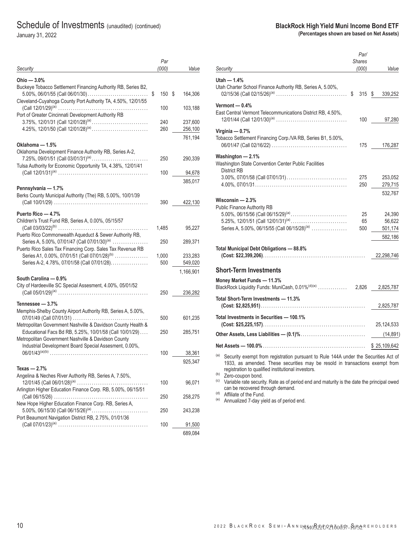### Schedule of Investments (unaudited) (continued)

January 31, 2022

|                                                                                                               | Par          |           |
|---------------------------------------------------------------------------------------------------------------|--------------|-----------|
| Security                                                                                                      | (000)        | Value     |
| Ohio $-3.0%$                                                                                                  |              |           |
| Buckeye Tobacco Settlement Financing Authority RB, Series B2,                                                 |              |           |
| 5.00%, 06/01/55 (Call 06/01/30)                                                                               | 150 \$<br>\$ | 164,306   |
| Cleveland-Cuyahoga County Port Authority TA, 4.50%, 12/01/55                                                  | 100          | 103,188   |
| Port of Greater Cincinnati Development Authority RB                                                           |              |           |
|                                                                                                               | 240          | 237,600   |
|                                                                                                               | 260          | 256,100   |
|                                                                                                               |              | 761,194   |
| Oklahoma - 1.5%                                                                                               |              |           |
| Oklahoma Development Finance Authority RB, Series A-2,                                                        | 250          | 290,339   |
| Tulsa Authority for Economic Opportunity TA, 4.38%, 12/01/41                                                  |              |           |
|                                                                                                               | 100          | 94,678    |
|                                                                                                               |              | 385,017   |
| Pennsylvania - 1.7%                                                                                           |              |           |
| Berks County Municipal Authority (The) RB, 5.00%, 10/01/39                                                    |              |           |
|                                                                                                               | 390          | 422,130   |
| Puerto Rico - 4.7%                                                                                            |              |           |
| Children's Trust Fund RB, Series A, 0.00%, 05/15/57                                                           |              |           |
| Puerto Rico Commonwealth Aqueduct & Sewer Authority RB,                                                       | 1,485        | 95,227    |
| Series A, 5.00%, 07/01/47 (Call 07/01/30) <sup>(a)</sup>                                                      | 250          | 289,371   |
| Puerto Rico Sales Tax Financing Corp. Sales Tax Revenue RB                                                    |              |           |
| Series A1, 0.00%, 07/01/51 (Call 07/01/28) <sup>(b)</sup>                                                     | 1,000        | 233,283   |
| Series A-2, 4.78%, 07/01/58 (Call 07/01/28)                                                                   | 500          | 549,020   |
| South Carolina - 0.9%                                                                                         |              | 1,166,901 |
| City of Hardeeville SC Special Assesment, 4.00%, 05/01/52                                                     |              |           |
|                                                                                                               | 250          | 236,282   |
| Tennessee - 3.7%                                                                                              |              |           |
| Memphis-Shelby County Airport Authority RB, Series A, 5.00%,                                                  |              |           |
|                                                                                                               | 500          | 601,235   |
| Metropolitan Government Nashville & Davidson County Health &                                                  |              |           |
| Educational Facs Bd RB, 5.25%, 10/01/58 (Call 10/01/29)                                                       | 250          | 285,751   |
| Metropolitan Government Nashville & Davidson County<br>Industrial Development Board Special Assesment, 0.00%, |              |           |
|                                                                                                               | 100          | 38,361    |
|                                                                                                               |              | 925,347   |
| Texas $-2.7%$                                                                                                 |              |           |
| Angelina & Neches River Authority RB, Series A, 7.50%,                                                        |              |           |
|                                                                                                               | 100          | 96,071    |
| Arlington Higher Education Finance Corp. RB, 5.00%, 06/15/51                                                  | 250          | 258,275   |
| New Hope Higher Education Finance Corp. RB, Series A,                                                         |              |           |
|                                                                                                               | 250          | 243,238   |
| Port Beaumont Navigation District RB, 2.75%, 01/01/36                                                         |              |           |
|                                                                                                               | 100          | 91,500    |
|                                                                                                               |              | 689,084   |

### **BlackRock High Yield Muni Income Bond ETF**

**(Percentages shown are based on Net Assets)**

|                                                                                                                                                                                                                                               | Par/<br>Shares  |                             |
|-----------------------------------------------------------------------------------------------------------------------------------------------------------------------------------------------------------------------------------------------|-----------------|-----------------------------|
| Security                                                                                                                                                                                                                                      | (000)           | Value                       |
| Utah - 1.4%<br>Utah Charter School Finance Authority RB, Series A, 5.00%,                                                                                                                                                                     | \$              | 315 \$<br>339,252           |
| Vermont - 0.4%<br>East Central Vermont Telecommunications District RB, 4.50%,                                                                                                                                                                 | 100             | 97,280                      |
| Virginia — 0.7%<br>Tobacco Settlement Financing Corp./VA RB, Series B1, 5.00%,                                                                                                                                                                | 175             | 176,287                     |
| Washington — 2.1%<br><b>Washington State Convention Center Public Facilities</b><br><b>District RB</b>                                                                                                                                        |                 |                             |
| 3.00%, 07/01/58 (Call 07/01/31)                                                                                                                                                                                                               | 275<br>250      | 253,052<br>279,715          |
| Wisconsin $-2.3%$                                                                                                                                                                                                                             |                 | 532,767                     |
| Public Finance Authority RB<br>5.25%, 12/01/51 (Call 12/01/31) <sup>(a)</sup><br>Series A, 5.00%, 06/15/55 (Call 06/15/28) <sup>(a)</sup>                                                                                                     | 25<br>65<br>500 | 24,390<br>56,622<br>501,174 |
|                                                                                                                                                                                                                                               |                 | 582,186                     |
| Total Municipal Debt Obligations - 88.8%                                                                                                                                                                                                      |                 | 22,298,746                  |
| <b>Short-Term Investments</b>                                                                                                                                                                                                                 |                 |                             |
| Money Market Funds - 11.3%                                                                                                                                                                                                                    |                 | 2,825,787                   |
| Total Short-Term Investments - 11.3%                                                                                                                                                                                                          |                 | 2,825,787                   |
| Total Investments in Securities - 100.1%                                                                                                                                                                                                      |                 | 25, 124, 533                |
|                                                                                                                                                                                                                                               |                 | (14, 891)                   |
|                                                                                                                                                                                                                                               |                 | \$25,109,642                |
| (a)<br>Security exempt from registration pursuant to Rule 144A under the Securities Act of<br>1933, as amended. These securities may be resold in transactions exempt from<br>registration to qualified institutional investors.<br>(b)       |                 |                             |
| Zero-coupon bond.<br>(c)<br>Variable rate security. Rate as of period end and maturity is the date the principal owed<br>can be recovered through demand.<br>(d)<br>Affiliate of the Fund.<br>(e)<br>Annualized 7-day yield as of period end. |                 |                             |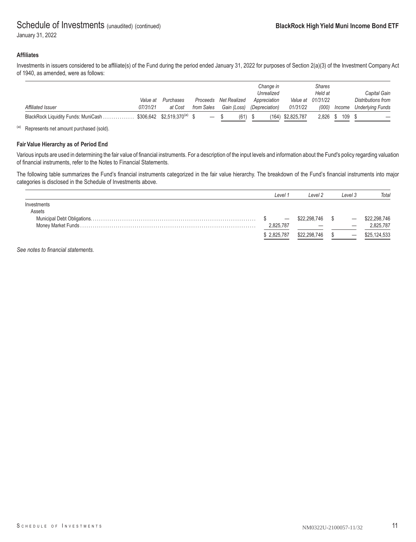January 31, 2022

#### **Affiliates**

Investments in issuers considered to be affiliate(s) of the Fund during the period ended January 31, 2022 for purposes of Section 2(a)(3) of the Investment Company Act of 1940, as amended, were as follows:

|                                                                             |          |           |            |                       | Change in             |                     | <b>Shares</b>   |        |                         |
|-----------------------------------------------------------------------------|----------|-----------|------------|-----------------------|-----------------------|---------------------|-----------------|--------|-------------------------|
|                                                                             |          |           |            |                       | Unrealized            |                     | Held at         |        | Capital Gain            |
|                                                                             | Value at | Purchases |            | Proceeds Net Realized | Appreciation          | Value at            | <i>01/31/22</i> |        | Distributions from      |
| Affiliated Issuer                                                           | 07/31/21 | at Cost   | from Sales | Gain (Loss)           | <i>(Depreciation)</i> | 01/31/22            | (000)           | Income | <b>Underlying Funds</b> |
| BlackRock Liquidity Funds: MuniCash \$306,642 \$2,519,370 <sup>(a)</sup> \$ |          |           |            | (61)                  |                       | $(164)$ \$2,825,787 | $2.826$ \$      | 109 \$ |                         |

(a) Represents net amount purchased (sold).

#### **Fair Value Hierarchy as of Period End**

Various inputs are used in determining the fair value of financial instruments. For a description of the input levels and information about the Fund's policy regarding valuation of financial instruments, refer to the Notes to Financial Statements.

The following table summarizes the Fund's financial instruments categorized in the fair value hierarchy. The breakdown of the Fund's financial instruments into major categories is disclosed in the Schedule of Investments above.

|             | Level     | l evel 2     | Level 3 | Total                |
|-------------|-----------|--------------|---------|----------------------|
| Investments |           |              |         |                      |
| Assets      | 1,825,787 | \$22,298,746 |         | 298 746<br>2,825,787 |
|             | 2.825.78  | \$22.298.746 |         | \$25.124.533         |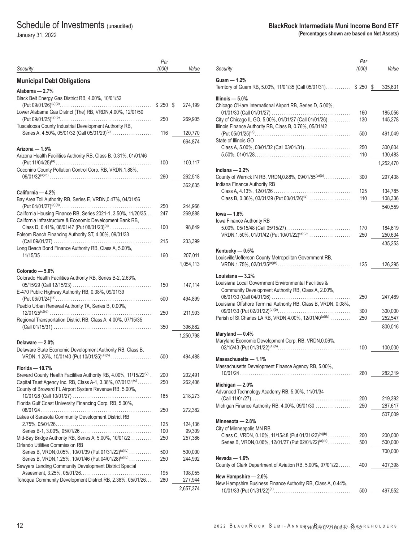### Schedule of Investments (unaudited)

January 31, 2022

| Security                                                                                                                                                                    | Par<br>(000) | Value     |
|-----------------------------------------------------------------------------------------------------------------------------------------------------------------------------|--------------|-----------|
| <b>Municipal Debt Obligations</b>                                                                                                                                           |              |           |
| Alabama - 2.7%                                                                                                                                                              |              |           |
| Black Belt Energy Gas District RB, 4.00%, 10/01/52                                                                                                                          | $$250$ \$    | 274,199   |
| Lower Alabama Gas District (The) RB, VRDN,4.00%, 12/01/50                                                                                                                   | 250          | 269,905   |
| Tuscaloosa County Industrial Development Authority RB,<br>Series A, 4.50%, 05/01/32 (Call 05/01/29) <sup>(c)</sup>                                                          | 116          | 120,770   |
|                                                                                                                                                                             |              | 664,874   |
| Arizona - 1.5%<br>Arizona Health Facilities Authority RB, Class B, 0.31%, 01/01/46                                                                                          |              |           |
|                                                                                                                                                                             | 100          | 100,117   |
| Coconino County Pollution Control Corp. RB, VRDN, 1.88%,                                                                                                                    | 260          | 262,518   |
|                                                                                                                                                                             |              | 362,635   |
| California — 4.2%                                                                                                                                                           |              |           |
| Bay Area Toll Authority RB, Series E, VRDN, 0.47%, 04/01/56                                                                                                                 |              |           |
|                                                                                                                                                                             | 250          | 244,966   |
| California Housing Finance RB, Series 2021-1, 3.50%, 11/20/35                                                                                                               | 247          | 269,888   |
| California Infrastructure & Economic Development Bank RB,<br>Class D, 0.41%, 08/01/47 (Put 08/01/23) <sup>(a)</sup><br>Folsom Ranch Financing Authority ST, 4.00%, 09/01/33 | 100          | 98,849    |
| Long Beach Bond Finance Authority RB, Class A, 5.00%,                                                                                                                       | 215          | 233,399   |
|                                                                                                                                                                             | 160          | 207,011   |
|                                                                                                                                                                             |              | 1,054,113 |
| Colorado - 5.0%                                                                                                                                                             |              |           |
| Colorado Health Facilities Authority RB, Series B-2, 2.63%,                                                                                                                 |              |           |
| E-470 Public Highway Authority RB, 0.38%, 09/01/39                                                                                                                          | 150          | 147,114   |
| Pueblo Urban Renewal Authority TA, Series B, 0.00%,                                                                                                                         | 500          | 494,899   |
| Regional Transportation District RB, Class A, 4.00%, 07/15/35                                                                                                               | 250          | 211,903   |
|                                                                                                                                                                             | 350          | 396,882   |
|                                                                                                                                                                             |              | 1,250,798 |
| Delaware - 2.0%<br>Delaware State Economic Development Authority RB, Class B,                                                                                               |              |           |
| VRDN, 1.25%, 10/01/40 (Put 10/01/25) <sup>(a)(b)</sup>                                                                                                                      | 500          | 494,488   |
|                                                                                                                                                                             |              |           |
| Florida - 10.7%<br>Brevard County Health Facilities Authority RB, 4.00%, 11/15/22 <sup>(c)</sup> .                                                                          | 200          | 202,491   |
| Capital Trust Agency Inc. RB, Class A-1, 3.38%, 07/01/31(c)                                                                                                                 | 250          | 262,406   |
| County of Broward FL Airport System Revenue RB, 5.00%,                                                                                                                      |              |           |
|                                                                                                                                                                             | 185          | 218,273   |
| Florida Gulf Coast University Financing Corp. RB, 5.00%,<br>.                                                                                                               | 250          | 272,382   |
| Lakes of Sarasota Community Development District RB                                                                                                                         | 125          | 124,136   |
|                                                                                                                                                                             | 100          | 99,309    |
| Mid-Bay Bridge Authority RB, Series A, 5.00%, 10/01/22<br>Orlando Utilities Commission RB                                                                                   | 250          | 257,386   |
| Series B, VRDN, 0.05%, 10/01/39 (Put 01/31/22) <sup>(a)(b)</sup>                                                                                                            | 500          | 500,000   |
| Series B, VRDN, 1.25%, 10/01/46 (Put 04/01/28) <sup>(a)(b)</sup><br>Sawyers Landing Community Development District Special                                                  | 250          | 244,992   |
|                                                                                                                                                                             | 195          | 198,055   |
| Tohoqua Community Development District RB, 2.38%, 05/01/26                                                                                                                  | 280          | 277,944   |
|                                                                                                                                                                             |              | 2,657,374 |

#### **BlackRock Intermediate Muni Income Bond ETF**

**(Percentages shown are based on Net Assets)**

|                                                                                                                   | Par        |                    |
|-------------------------------------------------------------------------------------------------------------------|------------|--------------------|
| Security                                                                                                          | (000)      | Value              |
| Guam — 1.2%                                                                                                       |            |                    |
| Territory of Guam RB, 5.00%, 11/01/35 (Call 05/01/31) \$ 250                                                      |            | \$<br>305,631      |
| Illinois — 5.0%                                                                                                   |            |                    |
| Chicago O'Hare International Airport RB, Series D, 5.00%,                                                         |            |                    |
|                                                                                                                   | 160        | 185,056            |
| City of Chicago IL GO, 5.00%, 01/01/27 (Call 01/01/26)<br>Illinois Finance Authority RB, Class B, 0.76%, 05/01/42 | 130        | 145,278            |
|                                                                                                                   | 500        | 491,049            |
| State of Illinois GO                                                                                              |            |                    |
| Class A, 5.00%, 03/01/32 (Call 03/01/31)                                                                          | 250        | 300,604            |
|                                                                                                                   | 110        | 130,483            |
|                                                                                                                   |            | 1,252,470          |
| Indiana — 2.2%                                                                                                    |            |                    |
| County of Warrick IN RB, VRDN, 0.88%, 09/01/55 <sup>(a)(b)</sup>                                                  | 300        | 297,438            |
| Indiana Finance Authority RB                                                                                      |            |                    |
|                                                                                                                   | 125        | 134,785            |
| Class B, 0.36%, 03/01/39 (Put 03/01/26) <sup>(a)</sup>                                                            | 110        | 108,336            |
|                                                                                                                   |            | 540,559            |
| lowa - 1.8%                                                                                                       |            |                    |
| lowa Finance Authority RB                                                                                         |            |                    |
| 5.00%, 05/15/48 (Call 05/15/27)<br>VRDN, 1.50%, 01/01/42 (Put 10/01/22) <sup>(a)(b)</sup>                         | 170<br>250 | 184,619<br>250,634 |
|                                                                                                                   |            |                    |
| Kentucky — 0.5%                                                                                                   |            | 435,253            |
| Louisville/Jefferson County Metropolitan Government RB,                                                           |            |                    |
|                                                                                                                   | 125        | 126,295            |
|                                                                                                                   |            |                    |
| Louisiana — 3.2%                                                                                                  |            |                    |
| Louisiana Local Government Environmental Facilities &<br>Community Development Authority RB, Class A, 2.00%,      |            |                    |
|                                                                                                                   | 250        | 247,469            |
| Louisiana Offshore Terminal Authority RB, Class B, VRDN, 0.08%,                                                   |            |                    |
|                                                                                                                   | 300        | 300,000            |
| Parish of St Charles LA RB, VRDN, 4.00%, 12/01/40 <sup>(a)(b)</sup>                                               | 250        | 252,547            |
|                                                                                                                   |            | 800.016            |
| Maryland - 0.4%                                                                                                   |            |                    |
| Maryland Economic Development Corp. RB, VRDN, 0.06%,                                                              |            |                    |
|                                                                                                                   | 100        | 100,000            |
| Massachusetts - 1.1%                                                                                              |            |                    |
| Massachusetts Development Finance Agency RB, 5.00%,                                                               |            |                    |
|                                                                                                                   | 260        | 282,319            |
|                                                                                                                   |            |                    |
| Michigan $-2.0%$                                                                                                  |            |                    |
| Advanced Technology Academy RB, 5.00%, 11/01/34                                                                   | 200        | 219,392            |
| Michigan Finance Authority RB, 4.00%, 09/01/30                                                                    | 250        | 287,617            |
|                                                                                                                   |            | 507,009            |
| Minnesota — 2.8%                                                                                                  |            |                    |
| City of Minneapolis MN RB                                                                                         |            |                    |
| Class C, VRDN, 0.10%, 11/15/48 (Put 01/31/22) <sup>(a)(b)</sup>                                                   | 200        | 200,000            |
| Series B, VRDN, 0.06%, 12/01/27 (Put 02/01/22) <sup>(a)(b)</sup>                                                  | 500        | 500,000            |
|                                                                                                                   |            | 700,000            |
| Nevada - 1.6%                                                                                                     |            |                    |
| County of Clark Department of Aviation RB, 5.00%, 07/01/22                                                        | 400        | 407,398            |
| New Hampshire - 2.0%                                                                                              |            |                    |
| New Hampshire Business Finance Authority RB, Class A, 0.44%,                                                      |            |                    |
|                                                                                                                   | 500        | 497,552            |
|                                                                                                                   |            |                    |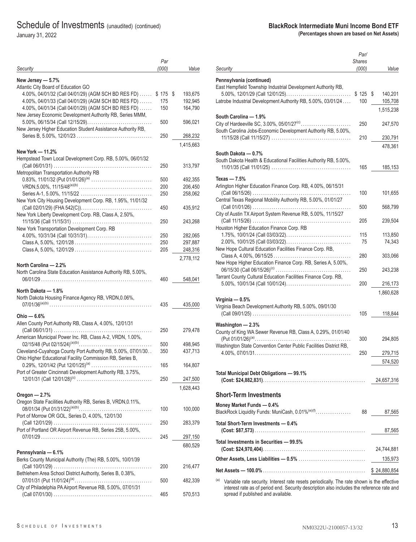### Schedule of Investments (unaudited) (continued)

January 31, 2022

| Security                                                                                                   | Par<br>(000) | Value         |
|------------------------------------------------------------------------------------------------------------|--------------|---------------|
|                                                                                                            |              |               |
| New Jersey - 5.7%                                                                                          |              |               |
| Atlantic City Board of Education GO                                                                        |              |               |
| 4.00%, 04/01/32 (Call 04/01/29) (AGM SCH BD RES FD)<br>4.00%, 04/01/33 (Call 04/01/29) (AGM SCH BD RES FD) | \$175        | \$<br>193.675 |
|                                                                                                            | 175          | 192,945       |
| 4.00%, 04/01/34 (Call 04/01/29) (AGM SCH BD RES FD)                                                        | 150          | 164,790       |
| New Jersey Economic Development Authority RB, Series MMM,<br>5.00%, 06/15/34 (Call 12/15/29)               |              |               |
| New Jersey Higher Education Student Assistance Authority RB,                                               | 500          | 596,021       |
|                                                                                                            |              |               |
|                                                                                                            | 250          | 268,232       |
|                                                                                                            |              | 1,415,663     |
| New York - 11.2%                                                                                           |              |               |
| Hempstead Town Local Development Corp. RB, 5.00%, 06/01/32                                                 |              |               |
|                                                                                                            | 250          | 313,797       |
| Metropolitan Transportation Authority RB                                                                   |              |               |
|                                                                                                            | 500          | 492,355       |
|                                                                                                            | 200          | 206,450       |
|                                                                                                            | 250          | 258,062       |
| New York City Housing Development Corp. RB, 1.95%, 11/01/32                                                |              |               |
|                                                                                                            | 450          | 435,912       |
| New York Liberty Development Corp. RB, Class A, 2.50%,                                                     |              |               |
|                                                                                                            | 250          | 243,268       |
| New York Transportation Development Corp. RB                                                               |              |               |
|                                                                                                            | 250          | 282,065       |
|                                                                                                            | 250          | 297,887       |
|                                                                                                            | 205          | 248,316       |
|                                                                                                            |              | 2,778,112     |
| North Carolina - 2.2%                                                                                      |              |               |
| North Carolina State Education Assistance Authority RB, 5.00%,                                             |              |               |
|                                                                                                            | 460          | 548,041       |
| North Dakota - 1.8%                                                                                        |              |               |
| North Dakota Housing Finance Agency RB, VRDN, 0.06%,                                                       |              |               |
|                                                                                                            | 435          | 435,000       |
|                                                                                                            |              |               |
| Ohio $-6.6%$                                                                                               |              |               |
| Allen County Port Authority RB, Class A, 4.00%, 12/01/31                                                   |              |               |
| .                                                                                                          | 250          | 279,478       |
| American Municipal Power Inc. RB, Class A-2, VRDN, 1.00%,                                                  |              |               |
|                                                                                                            | 500          | 498,945       |
| Cleveland-Cuyahoga County Port Authority RB, 5.00%, 07/01/30                                               | 350          | 437,713       |
| Ohio Higher Educational Facility Commission RB, Series B,                                                  |              |               |
|                                                                                                            | 165          | 164,807       |
| Port of Greater Cincinnati Development Authority RB, 3.75%,                                                |              |               |
|                                                                                                            | 250          | 247,500       |
|                                                                                                            |              | 1,628,443     |
| Oregon $-2.7%$                                                                                             |              |               |
| Oregon State Facilities Authority RB, Series B, VRDN, 0.11%,                                               |              |               |
|                                                                                                            | 100          | 100,000       |
| Port of Morrow OR GOL, Series D, 4.00%, 12/01/30                                                           |              |               |
|                                                                                                            | 250          | 283,379       |
| Port of Portland OR Airport Revenue RB, Series 25B, 5.00%,                                                 |              |               |
|                                                                                                            | 245          | 297,150       |
|                                                                                                            |              | 680,529       |
| Pennsylvania - 6.1%                                                                                        |              |               |
| Berks County Municipal Authority (The) RB, 5.00%, 10/01/39                                                 |              |               |
|                                                                                                            | 200          | 216,477       |
| Bethlehem Area School District Authority, Series B, 0.38%,                                                 |              |               |
|                                                                                                            | 500          | 482,339       |
| City of Philadelphia PA Airport Revenue RB, 5.00%, 07/01/31                                                |              |               |
|                                                                                                            | 465          | 570,513       |
|                                                                                                            |              |               |

#### **BlackRock Intermediate Muni Income Bond ETF**

**(Percentages shown are based on Net Assets)**

| Security                                                                                                                                                                                       | Par/<br>Shares<br>(000) | Value         |
|------------------------------------------------------------------------------------------------------------------------------------------------------------------------------------------------|-------------------------|---------------|
| Pennsylvania (continued)                                                                                                                                                                       |                         |               |
| East Hempfield Township Industrial Development Authority RB,                                                                                                                                   |                         |               |
| 5.00%, 12/01/29 (Call 12/01/25)                                                                                                                                                                | \$125                   | 140,201<br>\$ |
| Latrobe Industrial Development Authority RB, 5.00%, 03/01/24                                                                                                                                   | 100                     | 105,708       |
|                                                                                                                                                                                                |                         | 1,515,238     |
| South Carolina - 1.9%                                                                                                                                                                          |                         |               |
| City of Hardeeville SC, 3.00%, 05/01/27 <sup>(c)</sup><br>South Carolina Jobs-Economic Development Authority RB, 5.00%,                                                                        | 250                     | 247,570       |
|                                                                                                                                                                                                | 210                     | 230,791       |
|                                                                                                                                                                                                |                         | 478.361       |
| South Dakota - 0.7%                                                                                                                                                                            |                         |               |
| South Dakota Health & Educational Facilities Authority RB, 5.00%,                                                                                                                              |                         |               |
|                                                                                                                                                                                                | 165                     | 185,153       |
| Texas $-7.5%$                                                                                                                                                                                  |                         |               |
| Arlington Higher Education Finance Corp. RB, 4.00%, 06/15/31                                                                                                                                   |                         |               |
|                                                                                                                                                                                                | 100                     | 101,655       |
| Central Texas Regional Mobility Authority RB, 5.00%, 01/01/27                                                                                                                                  |                         |               |
|                                                                                                                                                                                                | 500                     | 568,799       |
| City of Austin TX Airport System Revenue RB, 5.00%, 11/15/27                                                                                                                                   | 205                     | 239,504       |
| Houston Higher Education Finance Corp. RB                                                                                                                                                      |                         |               |
| 1.75%, 10/01/24 (Call 03/03/22)                                                                                                                                                                | 115                     | 113.850       |
| 2.00%, 10/01/25 (Call 03/03/22)                                                                                                                                                                | 75                      | 74,343        |
| New Hope Cultural Education Facilities Finance Corp. RB,                                                                                                                                       |                         |               |
|                                                                                                                                                                                                | 280                     | 303,066       |
| New Hope Higher Education Finance Corp. RB, Series A, 5.00%,                                                                                                                                   | 250                     | 243,238       |
| Tarrant County Cultural Education Facilities Finance Corp. RB,                                                                                                                                 |                         |               |
|                                                                                                                                                                                                | 200                     | 216,173       |
|                                                                                                                                                                                                |                         | 1,860,628     |
| Virginia — 0.5%                                                                                                                                                                                |                         |               |
| Virginia Beach Development Authority RB, 5.00%, 09/01/30                                                                                                                                       |                         |               |
|                                                                                                                                                                                                | 105                     | 118,844       |
| Washington — 2.3%                                                                                                                                                                              |                         |               |
| County of King WA Sewer Revenue RB, Class A, 0.29%, 01/01/40                                                                                                                                   |                         |               |
|                                                                                                                                                                                                | 300                     | 294,805       |
| Washington State Convention Center Public Facilities District RB,                                                                                                                              | 250                     | 279,715       |
|                                                                                                                                                                                                |                         | 574,520       |
|                                                                                                                                                                                                |                         |               |
| Total Municipal Debt Obligations - 99.1%                                                                                                                                                       |                         |               |
|                                                                                                                                                                                                |                         | 24,657,316    |
| <b>Short-Term Investments</b>                                                                                                                                                                  |                         |               |
| Money Market Funds - 0.4%                                                                                                                                                                      |                         |               |
|                                                                                                                                                                                                |                         | 87,565        |
| Total Short-Term Investments - 0.4%                                                                                                                                                            |                         |               |
|                                                                                                                                                                                                |                         | 87,565        |
| Total Investments in Securities - 99.5%                                                                                                                                                        |                         |               |
|                                                                                                                                                                                                |                         | 24,744,881    |
|                                                                                                                                                                                                |                         | 135,973       |
|                                                                                                                                                                                                |                         | \$24,880,854  |
| (a)<br>Variable rate security. Interest rate resets periodically. The rate shown is the effective<br>interest rate as of period end. Security description also includes the reference rate and |                         |               |

spread if published and available.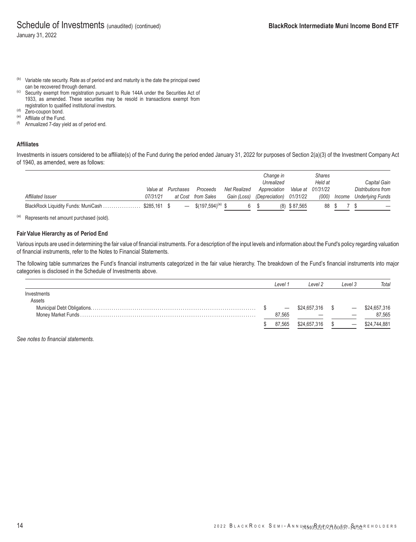- (b) Variable rate security. Rate as of period end and maturity is the date the principal owed can be recovered through demand.
- (c) Security exempt from registration pursuant to Rule 144A under the Securities Act of 1933, as amended. These securities may be resold in transactions exempt from registration to qualified institutional investors.
- (d) Zero-coupon bond.
- (e) Affiliate of the Fund.
- (f) Annualized 7-day yield as of period end.

#### **Affiliates**

Investments in issuers considered to be affiliate(s) of the Fund during the period ended January 31, 2022 for purposes of Section 2(a)(3) of the Investment Company Act of 1940, as amended, were as follows:

|                                                  |          |                          |                     |              | Change in      |                | <b>Shares</b> |        |                         |
|--------------------------------------------------|----------|--------------------------|---------------------|--------------|----------------|----------------|---------------|--------|-------------------------|
|                                                  |          |                          |                     |              | Unrealized     |                | Held at       |        | Capital Gain            |
|                                                  | Value at | Purchases                | Proceeds            | Net Realized | Appreciation   | Value at       | 01/31/22      |        | Distributions from      |
| Affiliated Issuer                                | 07/31/21 | at Cost                  | from Sales          | Gain (Loss)  | (Depreciation) | 01/31/22       | (000)         | Income | <b>Underlying Funds</b> |
| BlackRock Liquidity Funds: MuniCash \$285,161 \$ |          | $\overline{\phantom{0}}$ | $$(197.594)^{(a)}$$ |              |                | $(8)$ \$87,565 | 88 \$         |        |                         |

(a) Represents net amount purchased (sold).

#### **Fair Value Hierarchy as of Period End**

Various inputs are used in determining the fair value of financial instruments. For a description of the input levels and information about the Fund's policy regarding valuation of financial instruments, refer to the Notes to Financial Statements.

The following table summarizes the Fund's financial instruments categorized in the fair value hierarchy. The breakdown of the Fund's financial instruments into major categories is disclosed in the Schedule of Investments above.

|            | Level 1 | Level 2      | Level 3 | Total        |
|------------|---------|--------------|---------|--------------|
| าvestments |         |              |         |              |
| Assets     |         |              |         |              |
|            |         | \$24.657.316 |         | 24,657,316   |
|            | 87.565  |              |         | 87.565       |
|            | 87.565  | \$24,657,316 |         | \$24.744.881 |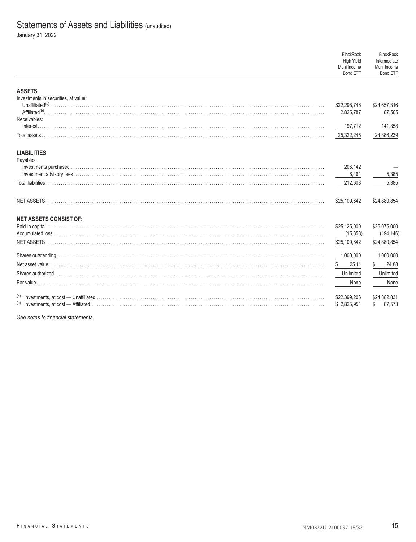### Statements of Assets and Liabilities (unaudited)

January 31, 2022

|                                      | <b>BlackRock</b><br><b>High Yield</b><br>Muni Income<br><b>Bond ETF</b> | <b>BlackRock</b><br>Intermediate<br>Muni Income<br><b>Bond ETF</b> |
|--------------------------------------|-------------------------------------------------------------------------|--------------------------------------------------------------------|
| <b>ASSETS</b>                        |                                                                         |                                                                    |
| Investments in securities, at value: | \$22,298,746<br>2,825,787                                               | \$24.657.316<br>87,565                                             |
| Receivables:                         | 197,712                                                                 | 141,358                                                            |
|                                      | 25,322,245                                                              | 24.886.239                                                         |
| <b>LIABILITIES</b><br>Payables:      |                                                                         |                                                                    |
|                                      | 206,142<br>6,461                                                        | 5,385                                                              |
|                                      | 212,603                                                                 | 5,385                                                              |
|                                      | \$25,109,642                                                            | \$24,880,854                                                       |
| <b>NET ASSETS CONSIST OF:</b>        |                                                                         |                                                                    |
|                                      | \$25,125,000<br>(15, 358)                                               | \$25,075,000<br>(194, 146)                                         |
|                                      | \$25,109,642                                                            | \$24,880,854                                                       |
|                                      | 1,000,000                                                               | 1,000,000                                                          |
|                                      | 25.11<br>\$                                                             | 24.88<br>S.                                                        |
|                                      | Unlimited                                                               | Unlimited                                                          |
|                                      | None                                                                    | None                                                               |
| (a)                                  | \$22,399,206<br>\$2,825,951                                             | \$24.882.831<br>\$<br>87.573                                       |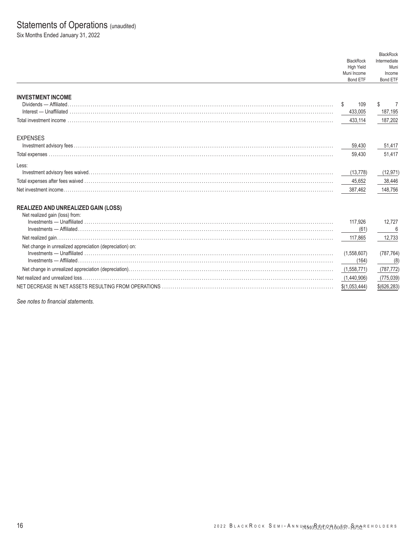### Statements of Operations (unaudited)

Six Months Ended January 31, 2022

|                                                                                                                                                                                                                                                                                                                                                                  | <b>BlackRock</b><br><b>High Yield</b><br>Muni Income<br>Bond ETF | <b>BlackRock</b><br>Intermediate<br>Muni<br>Income<br><b>Bond ETF</b> |
|------------------------------------------------------------------------------------------------------------------------------------------------------------------------------------------------------------------------------------------------------------------------------------------------------------------------------------------------------------------|------------------------------------------------------------------|-----------------------------------------------------------------------|
| <b>INVESTMENT INCOME</b><br>$Interest - Unaffilated$<br>$\overline{\text{Total investment income}}$                                                                                                                                                                                                                                                              | 109<br>433,005<br>433,114                                        | 7<br>S<br>187,195<br>187,202                                          |
| <b>EXPENSES</b>                                                                                                                                                                                                                                                                                                                                                  | 59,430<br>59.430                                                 | 51,417<br>51.417                                                      |
| Less:                                                                                                                                                                                                                                                                                                                                                            | (13, 778)<br>45,652<br>387,462                                   | (12, 971)<br>38,446<br>148.756                                        |
| REALIZED AND UNREALIZED GAIN (LOSS)<br>Net realized gain (loss) from:<br>Net change in unrealized appreciation (depreciation) on:<br>$Investments$ $-$ Unaffiliated $\ldots$ $\ldots$ $\ldots$ $\ldots$ $\ldots$ $\ldots$ $\ldots$ $\ldots$ $\ldots$ $\ldots$ $\ldots$ $\ldots$ $\ldots$ $\ldots$ $\ldots$ $\ldots$ $\ldots$ $\ldots$ $\ldots$ $\ldots$ $\ldots$ | 117,926<br>(61)<br>117,865<br>(1,558,607)                        | 12,727<br>6<br>12,733<br>(787, 764)                                   |
|                                                                                                                                                                                                                                                                                                                                                                  | (164)<br>(1,558,771)<br>(1,440,906)<br>\$(1,053,444)             | (8)<br>(787, 772)<br>(775, 039)<br>\$(626, 283)                       |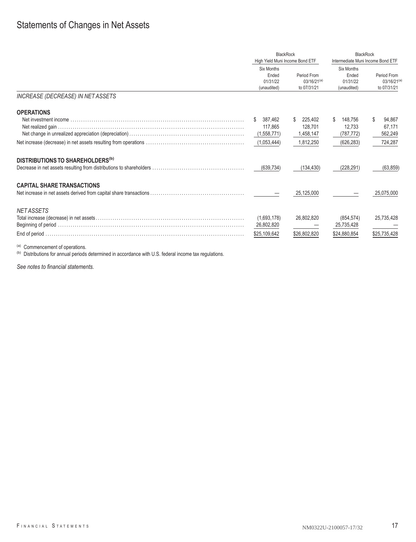## Statements of Changes in Net Assets

|                                              | <b>BlackRock</b><br>High Yield Muni Income Bond ETF |                                                | BlackRock<br>Intermediate Muni Income Bond ETF |                                                |  |
|----------------------------------------------|-----------------------------------------------------|------------------------------------------------|------------------------------------------------|------------------------------------------------|--|
|                                              | Six Months<br>Ended<br>01/31/22<br>(unaudited)      | Period From<br>$03/16/21^{(a)}$<br>to 07/31/21 | Six Months<br>Ended<br>01/31/22<br>(unaudited) | Period From<br>$03/16/21^{(a)}$<br>to 07/31/21 |  |
| <b>INCREASE (DECREASE) IN NET ASSETS</b>     |                                                     |                                                |                                                |                                                |  |
| <b>OPERATIONS</b><br>Net realized gain.      | 387.462<br>117,865<br>(1,558,771)<br>(1,053,444)    | 225,402<br>128,701<br>1,458,147<br>1,812,250   | 148.756<br>12,733<br>(787, 772)<br>(626, 283)  | 94,867<br>67,171<br>562,249<br>724,287         |  |
| DISTRIBUTIONS TO SHAREHOLDERS <sup>(b)</sup> | (639, 734)                                          | (134, 430)                                     | (228, 291)                                     | (63, 859)                                      |  |
| <b>CAPITAL SHARE TRANSACTIONS</b>            |                                                     | 25,125,000                                     |                                                | 25,075,000                                     |  |
| <b>NET ASSETS</b>                            | (1,693,178)<br>26,802,820<br>\$25,109,642           | 26,802,820<br>\$26,802,820                     | (854, 574)<br>25,735,428<br>\$24,880,854       | 25,735,428<br>\$25,735,428                     |  |

(a) Commencement of operations.

(b) Distributions for annual periods determined in accordance with U.S. federal income tax regulations.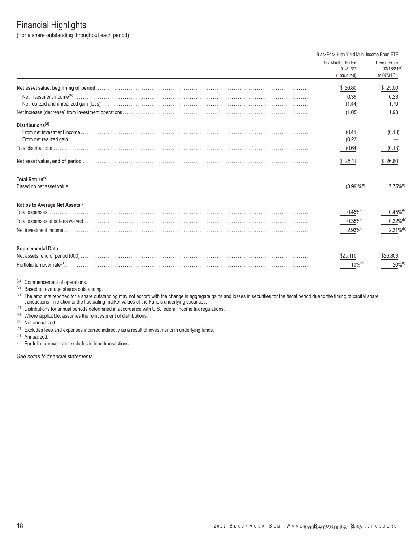### Financial Highlights

(For a share outstanding throughout each period)

|                                                                      | BlackRock High Yield Muni Income Bond ETF                                     |                                                                               |
|----------------------------------------------------------------------|-------------------------------------------------------------------------------|-------------------------------------------------------------------------------|
|                                                                      | <b>Six Months Ended</b><br>01/31/22<br>(unaudited)                            | Period From<br>$03/16/21^{(a)}$<br>to 07/31/21                                |
|                                                                      | \$26.80<br>0.39<br>(1.44)                                                     | \$25.00<br>0.23<br>1.70                                                       |
|                                                                      | (1.05)                                                                        | 1.93                                                                          |
| Distributions <sup>(d)</sup>                                         | (0.41)<br>(0.23)<br>(0.64)<br>\$25.11                                         | (0.13)<br>(0.13)<br>\$26.80                                                   |
| Total Return <sup>(e)</sup>                                          | $(3.99) \%$ <sup>(f)</sup>                                                    | $7.75\%$ <sup>(f)</sup>                                                       |
| Ratios to Average Net Assets <sup>(g)</sup><br>Net investment income | $0.45\%$ <sup>(h)</sup><br>$0.35\%$ <sup>(h)</sup><br>$2.93\%$ <sup>(h)</sup> | $0.45\%$ <sup>(h)</sup><br>$0.32\%$ <sup>(h)</sup><br>$2.31\%$ <sup>(h)</sup> |
| <b>Supplemental Data</b>                                             | \$25,110<br>$10\%$ <sup>(f)</sup>                                             | \$26,803<br>$20\%$ <sup>(f)</sup>                                             |

(a) Commencement of operations.

(b) Based on average shares outstanding.

<sup>(c)</sup> The amounts reported for a share outstanding may not accord with the change in aggregate gains and losses in securities for the fiscal period due to the timing of capital share<br>transactions in relation to the fluctua

 $<sup>(d)</sup>$  Distributions for annual periods determined in accordance with U.S. federal income tax regulations.</sup>

(e) Where applicable, assumes the reinvestment of distributions.

 $<sup>(f)</sup>$  Not annualized.</sup>

(g) Excludes fees and expenses incurred indirectly as a result of investments in underlying funds.

(h) Annualized.

 $(i)$  Portfolio turnover rate excludes in-kind transactions.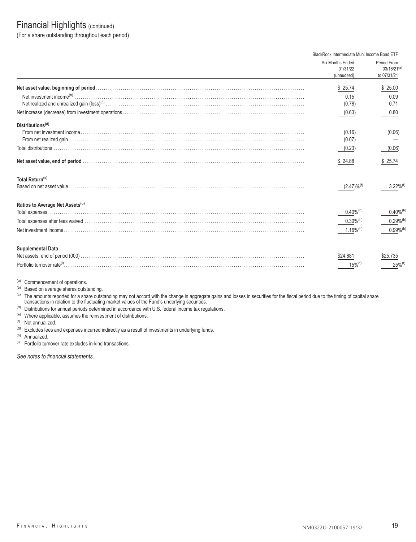### Financial Highlights (continued)

(For a share outstanding throughout each period)

|                                                                      | BlackRock Intermediate Muni Income Bond ETF                                   |                                                                              |
|----------------------------------------------------------------------|-------------------------------------------------------------------------------|------------------------------------------------------------------------------|
|                                                                      | Six Months Ended<br>01/31/22<br>(unaudited)                                   | Period From<br>$03/16/21^{(a)}$<br>to 07/31/21                               |
|                                                                      | \$25.74<br>0.15<br>(0.78)<br>(0.63)                                           | \$25.00<br>0.09<br>0.71<br>0.80                                              |
| Distributions <sup>(d)</sup>                                         | (0.16)<br>(0.07)<br>(0.23)                                                    | (0.06)<br>(0.06)                                                             |
|                                                                      | \$24.88                                                                       | \$25.74                                                                      |
| Total Return <sup>(e)</sup>                                          | $(2.47)\%$ <sup>(f)</sup>                                                     | $3.22\%$ <sup>(f)</sup>                                                      |
| Ratios to Average Net Assets <sup>(g)</sup><br>Net investment income | $0.40\%$ <sup>(h)</sup><br>$0.30\%$ <sup>(h)</sup><br>$1.16\%$ <sup>(h)</sup> | $0.40\%$ <sup>(h)</sup><br>$0.29%$ <sup>(h)</sup><br>$0.99\%$ <sup>(h)</sup> |
| <b>Supplemental Data</b>                                             | \$24,881<br>$15\%$ <sup>(f)</sup>                                             | \$25,735<br>$25\%$ <sup>(f)</sup>                                            |

(a) Commencement of operations.

(b) Based on average shares outstanding.

<sup>(c)</sup> The amounts reported for a share outstanding may not accord with the change in aggregate gains and losses in securities for the fiscal period due to the timing of capital share<br>transactions in relation to the fluctua

 $<sup>(d)</sup>$  Distributions for annual periods determined in accordance with U.S. federal income tax regulations.</sup>

(e) Where applicable, assumes the reinvestment of distributions.

(f) Not annualized.

(g) Excludes fees and expenses incurred indirectly as a result of investments in underlying funds.

(h) Annualized.

 $(i)$  Portfolio turnover rate excludes in-kind transactions.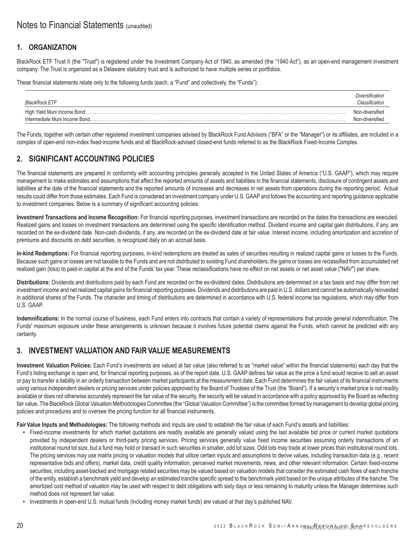### **1. ORGANIZATION**

BlackRock ETF Trust II (the "Trust") is registered under the Investment Company Act of 1940, as amended (the "1940 Act"), as an open-end management investment company. The Trust is organized as a Delaware statutory trust and is authorized to have multiple series or portfolios.

These financial statements relate only to the following funds (each, a "Fund" and collectively, the "Funds"):

| <b>BlackRock ETF</b>           | Diversification<br>Classificatior  |
|--------------------------------|------------------------------------|
| Intermediate Muni Income Bond. | Non-diversified<br>Non-diversified |

The Funds, together with certain other registered investment companies advised by BlackRock Fund Advisors ("BFA" or the "Manager") or its affiliates, are included in a complex of open-end non-index fixed-income funds and all BlackRock-advised closed-end funds referred to as the BlackRock Fixed-Income Complex.

### **2. SIGNIFICANT ACCOUNTING POLICIES**

The financial statements are prepared in conformity with accounting principles generally accepted in the United States of America ("U.S. GAAP"), which may require management to make estimates and assumptions that affect the reported amounts of assets and liabilities in the financial statements, disclosure of contingent assets and liabilities at the date of the financial statements and the reported amounts of increases and decreases in net assets from operations during the reporting period. Actual results could differ from those estimates. Each Fund is considered an investment company under U.S. GAAP and follows the accounting and reporting guidance applicable to investment companies. Below is a summary of significant accounting policies:

**Investment Transactions and Income Recognition:** For financial reporting purposes, investment transactions are recorded on the dates the transactions are executed. Realized gains and losses on investment transactions are determined using the specific identification method. Dividend income and capital gain distributions, if any, are recorded on the ex-dividend date. Non-cash dividends, if any, are recorded on the ex-dividend date at fair value. Interest income, including amortization and accretion of premiums and discounts on debt securities, is recognized daily on an accrual basis.

**In-kind Redemptions:** For financial reporting purposes, in-kind redemptions are treated as sales of securities resulting in realized capital gains or losses to the Funds. Because such gains or losses are not taxable to the Funds and are not distributed to existing Fund shareholders, the gains or losses are reclassified from accumulated net realized gain (loss) to paid-in capital at the end of the Funds' tax year. These reclassifications have no effect on net assets or net asset value ("NAV") per share.

**Distributions:** Dividends and distributions paid by each Fund are recorded on the ex-dividend dates. Distributions are determined on a tax basis and may differ from net investment income and net realized capital gains for financial reporting purposes. Dividends and distributions are paid in U.S. dollars and cannot be automatically reinvested in additional shares of the Funds. The character and timing of distributions are determined in accordance with U.S. federal income tax regulations, which may differ from U.S. GAAP.

**Indemnifications:** In the normal course of business, each Fund enters into contracts that contain a variety of representations that provide general indemnification. The Funds' maximum exposure under these arrangements is unknown because it involves future potential claims against the Funds, which cannot be predicted with any certainty.

### **3. INVESTMENT VALUATION AND FAIR VALUE MEASUREMENTS**

**Investment Valuation Policies:** Each Fund's investments are valued at fair value (also referred to as "market value" within the financial statements) each day that the Fund's listing exchange is open and, for financial reporting purposes, as of the report date. U.S. GAAP defines fair value as the price a fund would receive to sell an asset or pay to transfer a liability in an orderly transaction between market participants at the measurement date. Each Fund determines the fair values of its financial instruments using various independent dealers or pricing services under policies approved by the Board of Trustees of the Trust (the "Board"). If a security's market price is not readily available or does not otherwise accurately represent the fair value of the security, the security will be valued in accordance with a policy approved by the Board as reflecting fair value. The BlackRock Global Valuation Methodologies Committee (the "Global Valuation Committee") is the committee formed by management to develop global pricing policies and procedures and to oversee the pricing function for all financial instruments.

**Fair Value Inputs and Methodologies:** The following methods and inputs are used to establish the fair value of each Fund's assets and liabilities:

- Fixed-income investments for which market quotations are readily available are generally valued using the last available bid price or current market quotations provided by independent dealers or third-party pricing services. Pricing services generally value fixed income securities assuming orderly transactions of an institutional round lot size, but a fund may hold or transact in such securities in smaller, odd lot sizes. Odd lots may trade at lower prices than institutional round lots. The pricing services may use matrix pricing or valuation models that utilize certain inputs and assumptions to derive values, including transaction data (e.g., recent representative bids and offers), market data, credit quality information, perceived market movements, news, and other relevant information. Certain fixed-income securities, including asset-backed and mortgage related securities may be valued based on valuation models that consider the estimated cash flows of each tranche of the entity, establish a benchmark yield and develop an estimated tranche specific spread to the benchmark yield based on the unique attributes of the tranche. The amortized cost method of valuation may be used with respect to debt obligations with sixty days or less remaining to maturity unless the Manager determines such method does not represent fair value.
- Investments in open-end U.S. mutual funds (including money market funds) are valued at that day's published NAV.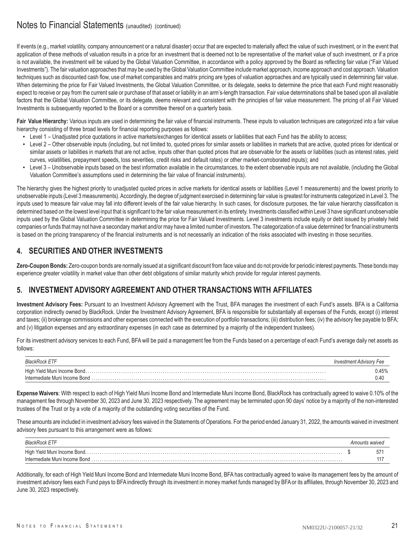If events (e.g., market volatility, company announcement or a natural disaster) occur that are expected to materially affect the value of such investment, or in the event that application of these methods of valuation results in a price for an investment that is deemed not to be representative of the market value of such investment, or if a price is not available, the investment will be valued by the Global Valuation Committee, in accordance with a policy approved by the Board as reflecting fair value ("Fair Valued Investments"). The fair valuation approaches that may be used by the Global Valuation Committee include market approach, income approach and cost approach. Valuation techniques such as discounted cash flow, use of market comparables and matrix pricing are types of valuation approaches and are typically used in determining fair value. When determining the price for Fair Valued Investments, the Global Valuation Committee, or its delegate, seeks to determine the price that each Fund might reasonably expect to receive or pay from the current sale or purchase of that asset or liability in an arm's-length transaction. Fair value determinations shall be based upon all available factors that the Global Valuation Committee, or its delegate, deems relevant and consistent with the principles of fair value measurement. The pricing of all Fair Valued Investments is subsequently reported to the Board or a committee thereof on a quarterly basis.

Fair Value Hierarchy: Various inputs are used in determining the fair value of financial instruments. These inputs to valuation techniques are categorized into a fair value hierarchy consisting of three broad levels for financial reporting purposes as follows:

- Level 1 Unadjusted price quotations in active markets/exchanges for identical assets or liabilities that each Fund has the ability to access;
- Level 2 Other observable inputs (including, but not limited to, quoted prices for similar assets or liabilities in markets that are active, quoted prices for identical or similar assets or liabilities in markets that are not active, inputs other than quoted prices that are observable for the assets or liabilities (such as interest rates, yield curves, volatilities, prepayment speeds, loss severities, credit risks and default rates) or other market-corroborated inputs); and
- Level 3 Unobservable inputs based on the best information available in the circumstances, to the extent observable inputs are not available, (including the Global Valuation Committee's assumptions used in determining the fair value of financial instruments).

The hierarchy gives the highest priority to unadjusted quoted prices in active markets for identical assets or liabilities (Level 1 measurements) and the lowest priority to unobservable inputs (Level 3 measurements). Accordingly, the degree of judgment exercised in determining fair value is greatest for instruments categorized in Level 3. The inputs used to measure fair value may fall into different levels of the fair value hierarchy. In such cases, for disclosure purposes, the fair value hierarchy classification is determined based on the lowest level input that is significant to the fair value measurement in its entirety. Investments classified within Level 3 have significant unobservable inputs used by the Global Valuation Committee in determining the price for Fair Valued Investments. Level 3 investments include equity or debt issued by privately held companies or funds that may not have a secondary market and/or may have a limited number of investors. The categorization of a value determined for financial instruments is based on the pricing transparency of the financial instruments and is not necessarily an indication of the risks associated with investing in those securities.

### **4. SECURITIES AND OTHER INVESTMENTS**

**Zero-Coupon Bonds:** Zero-coupon bonds are normally issued at a significant discount from face value and do not provide for periodic interest payments. These bonds may experience greater volatility in market value than other debt obligations of similar maturity which provide for regular interest payments.

### **5. INVESTMENT ADVISORY AGREEMENT AND OTHER TRANSACTIONS WITH AFFILIATES**

**Investment Advisory Fees:** Pursuant to an Investment Advisory Agreement with the Trust, BFA manages the investment of each Fund's assets. BFA is a California corporation indirectly owned by BlackRock. Under the Investment Advisory Agreement, BFA is responsible for substantially all expenses of the Funds, except (i) interest and taxes; (ii) brokerage commissions and other expenses connected with the execution of portfolio transactions; (iii) distribution fees; (iv) the advisory fee payable to BFA; and (v) litigation expenses and any extraordinary expenses (in each case as determined by a majority of the independent trustees).

For its investment advisory services to each Fund, BFA will be paid a management fee from the Funds based on a percentage of each Fund's average daily net assets as follows:

| Hiah                          |  |
|-------------------------------|--|
| Intermediate Muni Income Bond |  |

**Expense Waivers**: With respect to each of High Yield Muni Income Bond and Intermediate Muni Income Bond, BlackRock has contractually agreed to waive 0.10% of the management fee through November 30, 2023 and June 30, 2023 respectively. The agreement may be terminated upon 90 days' notice by a majority of the non-interested trustees of the Trust or by a vote of a majority of the outstanding voting securities of the Fund.

These amounts are included in investment advisory fees waived in the Statements of Operations. For the period ended January 31, 2022, the amounts waived in investment advisory fees pursuant to this arrangement were as follows:

| :kRnck                 |  |
|------------------------|--|
|                        |  |
| rmediate Muni Income I |  |

Additionally, for each of High Yield Muni Income Bond and Intermediate Muni Income Bond, BFA has contractually agreed to waive its management fees by the amount of investment advisory fees each Fund pays to BFA indirectly through its investment in money market funds managed by BFA or its affiliates, through November 30, 2023 and June 30, 2023 respectively.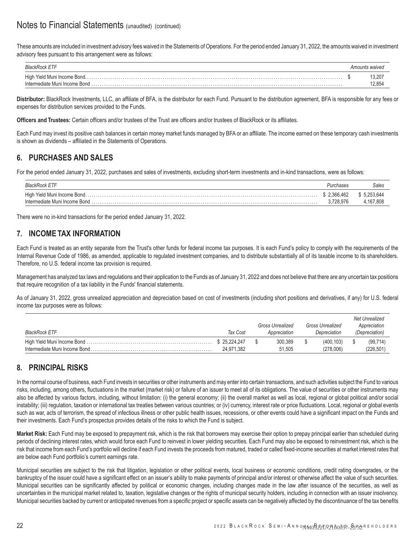These amounts are included in investment advisory fees waived in the Statements of Operations. For the period ended January 31, 2022, the amounts waived in investment advisory fees pursuant to this arrangement were as follows:

| BlackBock E |      |
|-------------|------|
|             | 3,20 |
|             | 2854 |

**Distributor:** BlackRock Investments, LLC, an affiliate of BFA, is the distributor for each Fund. Pursuant to the distribution agreement, BFA is responsible for any fees or expenses for distribution services provided to the Funds.

**Officers and Trustees:** Certain officers and/or trustees of the Trust are officers and/or trustees of BlackRock or its affiliates.

Each Fund may invest its positive cash balances in certain money market funds managed by BFA or an affiliate. The income earned on these temporary cash investments is shown as dividends – affiliated in the Statements of Operations.

### **6. PURCHASES AND SALES**

For the period ended January 31, 2022, purchases and sales of investments, excluding short-term investments and in-kind transactions, were as follows:

|                           |          | Sales |
|---------------------------|----------|-------|
| High                      | .366.462 |       |
| rmediate Muni Income Bond | ס מ      |       |

There were no in-kind transactions for the period ended January 31, 2022.

### **7. INCOME TAX INFORMATION**

Each Fund is treated as an entity separate from the Trust's other funds for federal income tax purposes. It is each Fund's policy to comply with the requirements of the Internal Revenue Code of 1986, as amended, applicable to regulated investment companies, and to distribute substantially all of its taxable income to its shareholders. Therefore, no U.S. federal income tax provision is required.

Management has analyzed tax laws and regulations and their application to the Funds as of January 31, 2022 and does not believe that there are any uncertain tax positions that require recognition of a tax liability in the Funds' financial statements.

As of January 31, 2022, gross unrealized appreciation and depreciation based on cost of investments (including short positions and derivatives, if any) for U.S. federal income tax purposes were as follows:

|               |            |                                      |              |           |                       | Net Unrealized |
|---------------|------------|--------------------------------------|--------------|-----------|-----------------------|----------------|
|               |            | Gross Unrealized<br>Gross Unrealized |              |           | Appreciation          |                |
| BlackRock ETF | Tax Cost   | Appreciation                         | Depreciation |           | <i>(Depreciation)</i> |                |
|               |            | 300.389                              |              | (400.103) |                       | (99, 714)      |
|               | 24.971.382 | 51.505                               |              | (278.006) |                       | (226, 501)     |

### **8. PRINCIPAL RISKS**

In the normal course of business, each Fund invests in securities or other instruments and may enter into certain transactions, and such activities subject the Fund to various risks, including, among others, fluctuations in the market (market risk) or failure of an issuer to meet all of its obligations. The value of securities or other instruments may also be affected by various factors, including, without limitation: (i) the general economy; (ii) the overall market as well as local, regional or global political and/or social instability; (iii) regulation, taxation or international tax treaties between various countries; or (iv) currency, interest rate or price fluctuations. Local, regional or global events such as war, acts of terrorism, the spread of infectious illness or other public health issues, recessions, or other events could have a significant impact on the Funds and their investments. Each Fund's prospectus provides details of the risks to which the Fund is subject.

**Market Risk:** Each Fund may be exposed to prepayment risk, which is the risk that borrowers may exercise their option to prepay principal earlier than scheduled during periods of declining interest rates, which would force each Fund to reinvest in lower yielding securities. Each Fund may also be exposed to reinvestment risk, which is the risk that income from each Fund's portfolio will decline if each Fund invests the proceeds from matured, traded or called fixed-income securities at market interest rates that are below each Fund portfolio's current earnings rate.

Municipal securities are subject to the risk that litigation, legislation or other political events, local business or economic conditions, credit rating downgrades, or the bankruptcy of the issuer could have a significant effect on an issuer's ability to make payments of principal and/or interest or otherwise affect the value of such securities. Municipal securities can be significantly affected by political or economic changes, including changes made in the law after issuance of the securities, as well as uncertainties in the municipal market related to, taxation, legislative changes or the rights of municipal security holders, including in connection with an issuer insolvency. Municipal securities backed by current or anticipated revenues from a specific project or specific assets can be negatively affected by the discontinuance of the tax benefits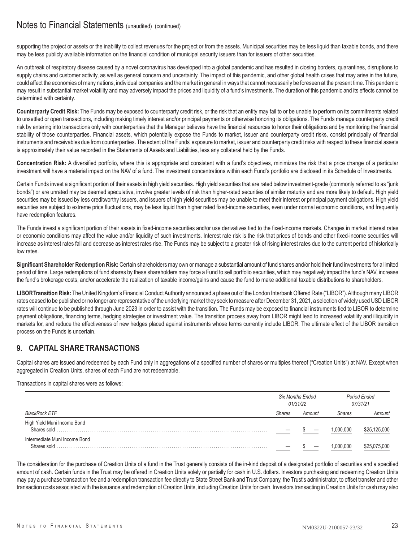supporting the project or assets or the inability to collect revenues for the project or from the assets. Municipal securities may be less liquid than taxable bonds, and there may be less publicly available information on the financial condition of municipal security issuers than for issuers of other securities.

An outbreak of respiratory disease caused by a novel coronavirus has developed into a global pandemic and has resulted in closing borders, quarantines, disruptions to supply chains and customer activity, as well as general concern and uncertainty. The impact of this pandemic, and other global health crises that may arise in the future, could affect the economies of many nations, individual companies and the market in general in ways that cannot necessarily be foreseen at the present time. This pandemic may result in substantial market volatility and may adversely impact the prices and liquidity of a fund's investments. The duration of this pandemic and its effects cannot be determined with certainty.

**Counterparty Credit Risk:** The Funds may be exposed to counterparty credit risk, or the risk that an entity may fail to or be unable to perform on its commitments related to unsettled or open transactions, including making timely interest and/or principal payments or otherwise honoring its obligations. The Funds manage counterparty credit risk by entering into transactions only with counterparties that the Manager believes have the financial resources to honor their obligations and by monitoring the financial stability of those counterparties. Financial assets, which potentially expose the Funds to market, issuer and counterparty credit risks, consist principally of financial instruments and receivables due from counterparties. The extent of the Funds' exposure to market, issuer and counterparty credit risks with respect to these financial assets is approximately their value recorded in the Statements of Assets and Liabilities, less any collateral held by the Funds.

**Concentration Risk:** A diversified portfolio, where this is appropriate and consistent with a fund's objectives, minimizes the risk that a price change of a particular investment will have a material impact on the NAV of a fund. The investment concentrations within each Fund's portfolio are disclosed in its Schedule of Investments.

Certain Funds invest a significant portion of their assets in high yield securities. High yield securities that are rated below investment-grade (commonly referred to as "junk bonds") or are unrated may be deemed speculative, involve greater levels of risk than higher-rated securities of similar maturity and are more likely to default. High yield securities may be issued by less creditworthy issuers, and issuers of high yield securities may be unable to meet their interest or principal payment obligations. High yield securities are subject to extreme price fluctuations, may be less liquid than higher rated fixed-income securities, even under normal economic conditions, and frequently have redemption features.

The Funds invest a significant portion of their assets in fixed-income securities and/or use derivatives tied to the fixed-income markets. Changes in market interest rates or economic conditions may affect the value and/or liquidity of such investments. Interest rate risk is the risk that prices of bonds and other fixed-income securities will increase as interest rates fall and decrease as interest rates rise. The Funds may be subject to a greater risk of rising interest rates due to the current period of historically low rates.

**Significant Shareholder Redemption Risk:** Certain shareholders may own or manage a substantial amount of fund shares and/or hold their fund investments for a limited period of time. Large redemptions of fund shares by these shareholders may force a Fund to sell portfolio securities, which may negatively impact the fund's NAV, increase the fund's brokerage costs, and/or accelerate the realization of taxable income/gains and cause the fund to make additional taxable distributions to shareholders.

**LIBOR Transition Risk:** The United Kingdom's Financial Conduct Authority announced a phase out of the London Interbank Offered Rate ("LIBOR"). Although many LIBOR rates ceased to be published or no longer are representative of the underlying market they seek to measure after December 31, 2021, a selection of widely used USD LIBOR rates will continue to be published through June 2023 in order to assist with the transition. The Funds may be exposed to financial instruments tied to LIBOR to determine payment obligations, financing terms, hedging strategies or investment value. The transition process away from LIBOR might lead to increased volatility and illiquidity in markets for, and reduce the effectiveness of new hedges placed against instruments whose terms currently include LIBOR. The ultimate effect of the LIBOR transition process on the Funds is uncertain.

### **9. CAPITAL SHARE TRANSACTIONS**

Capital shares are issued and redeemed by each Fund only in aggregations of a specified number of shares or multiples thereof ("Creation Units") at NAV. Except when aggregated in Creation Units, shares of each Fund are not redeemable.

Transactions in capital shares were as follows:

|                                                   |        | <b>Six Months Ended</b><br>01/31/22 | <b>Period Ended</b><br>07/31/21 |              |
|---------------------------------------------------|--------|-------------------------------------|---------------------------------|--------------|
| <b>BlackRock ETF</b>                              | Shares | Amount                              | <b>Shares</b>                   | Amount       |
| High Yield Muni Income Bond<br>Shares sold<br>.   |        |                                     | 1.000.000                       | \$25,125,000 |
| Intermediate Muni Income Bond<br>Shares sold<br>. |        |                                     | 1.000.000                       | \$25,075,000 |

The consideration for the purchase of Creation Units of a fund in the Trust generally consists of the in-kind deposit of a designated portfolio of securities and a specified amount of cash. Certain funds in the Trust may be offered in Creation Units solely or partially for cash in U.S. dollars. Investors purchasing and redeeming Creation Units may pay a purchase transaction fee and a redemption transaction fee directly to State Street Bank and Trust Company, the Trust's administrator, to offset transfer and other transaction costs associated with the issuance and redemption of Creation Units, including Creation Units for cash. Investors transacting in Creation Units for cash may also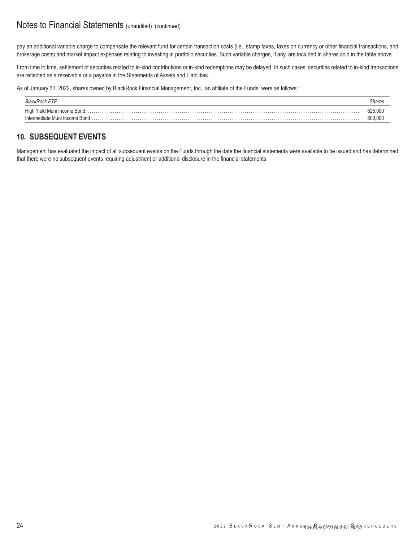pay an additional variable charge to compensate the relevant fund for certain transaction costs (i.e., stamp taxes, taxes on currency or other financial transactions, and brokerage costs) and market impact expenses relating to investing in portfolio securities. Such variable charges, if any, are included in shares sold in the table above.

From time to time, settlement of securities related to in-kind contributions or in-kind redemptions may be delayed. In such cases, securities related to in-kind transactions are reflected as a receivable or a payable in the Statements of Assets and Liabilities.

As of January 31, 2022, shares owned by BlackRock Financial Management, Inc., an affiliate of the Funds, were as follows:

| Intermediate Muni Income Bond |  |
|-------------------------------|--|

### **10. SUBSEQUENT EVENTS**

Management has evaluated the impact of all subsequent events on the Funds through the date the financial statements were available to be issued and has determined that there were no subsequent events requiring adjustment or additional disclosure in the financial statements.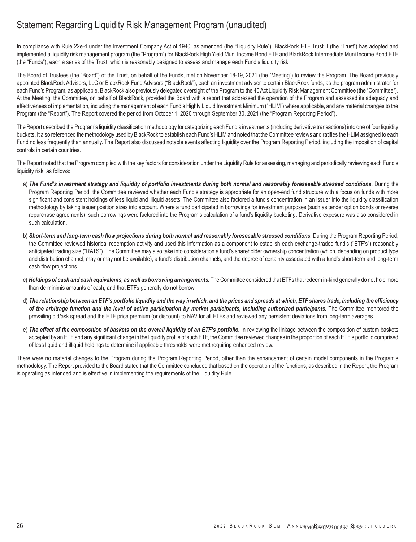### Statement Regarding Liquidity Risk Management Program (unaudited)

In compliance with Rule 22e-4 under the Investment Company Act of 1940, as amended (the "Liquidity Rule"), BlackRock ETF Trust II (the "Trust") has adopted and implemented a liquidity risk management program (the "Program") for BlackRock High Yield Muni Income Bond ETF and BlackRock Intermediate Muni Income Bond ETF (the "Funds"), each a series of the Trust, which is reasonably designed to assess and manage each Fund's liquidity risk.

The Board of Trustees (the "Board") of the Trust, on behalf of the Funds, met on November 18-19, 2021 (the "Meeting") to review the Program. The Board previously appointed BlackRock Advisors, LLC or BlackRock Fund Advisors ("BlackRock"), each an investment adviser to certain BlackRock funds, as the program administrator for each Fund's Program, as applicable. BlackRock also previously delegated oversight of the Program to the 40 Act Liquidity Risk Management Committee (the "Committee"). At the Meeting, the Committee, on behalf of BlackRock, provided the Board with a report that addressed the operation of the Program and assessed its adequacy and effectiveness of implementation, including the management of each Fund's Highly Liquid Investment Minimum ("HLIM") where applicable, and any material changes to the Program (the "Report"). The Report covered the period from October 1, 2020 through September 30, 2021 (the "Program Reporting Period").

The Report described the Program's liquidity classification methodology for categorizing each Fund's investments (including derivative transactions) into one of four liquidity buckets. It also referenced the methodology used by BlackRock to establish each Fund's HLIM and noted that the Committee reviews and ratifies the HLIM assigned to each Fund no less frequently than annually. The Report also discussed notable events affecting liquidity over the Program Reporting Period, including the imposition of capital controls in certain countries.

The Report noted that the Program complied with the key factors for consideration under the Liquidity Rule for assessing, managing and periodically reviewing each Fund's liquidity risk, as follows:

- a) The Fund's investment strategy and liquidity of portfolio investments during both normal and reasonably foreseeable stressed conditions. During the Program Reporting Period, the Committee reviewed whether each Fund's strategy is appropriate for an open-end fund structure with a focus on funds with more significant and consistent holdings of less liquid and illiquid assets. The Committee also factored a fund's concentration in an issuer into the liquidity classification methodology by taking issuer position sizes into account. Where a fund participated in borrowings for investment purposes (such as tender option bonds or reverse repurchase agreements), such borrowings were factored into the Program's calculation of a fund's liquidity bucketing. Derivative exposure was also considered in such calculation.
- b) **Short-term and long-term cash flow projections during both normal and reasonably foreseeable stressed conditions. During the Program Reporting Period,** the Committee reviewed historical redemption activity and used this information as a component to establish each exchange-traded fund's ("ETF's") reasonably anticipated trading size ("RATS"). The Committee may also take into consideration a fund's shareholder ownership concentration (which, depending on product type and distribution channel, may or may not be available), a fund's distribution channels, and the degree of certainty associated with a fund's short-term and long-term cash flow projections.
- c) **Holdings of cash and cash equivalents, as well as borrowing arrangements.** The Committee considered that ETFs that redeem in-kind generally do not hold more than de minimis amounts of cash, and that ETFs generally do not borrow.
- d) *The relationship between an ETF's portfolio liquidity and the way in which, and the prices and spreads at which, ETF shares trade, including the efficiency of the arbitrage function and the level of active participation by market participants, including authorized participants.* The Committee monitored the prevailing bid/ask spread and the ETF price premium (or discount) to NAV for all ETFs and reviewed any persistent deviations from long-term averages.
- e) **The effect of the composition of baskets on the overall liquidity of an ETF's portfolio.** In reviewing the linkage between the composition of custom baskets accepted by an ETF and any significant change in the liquidity profile of such ETF, the Committee reviewed changes in the proportion of each ETF's portfolio comprised of less liquid and illiquid holdings to determine if applicable thresholds were met requiring enhanced review.

There were no material changes to the Program during the Program Reporting Period, other than the enhancement of certain model components in the Program's methodology. The Report provided to the Board stated that the Committee concluded that based on the operation of the functions, as described in the Report, the Program is operating as intended and is effective in implementing the requirements of the Liquidity Rule.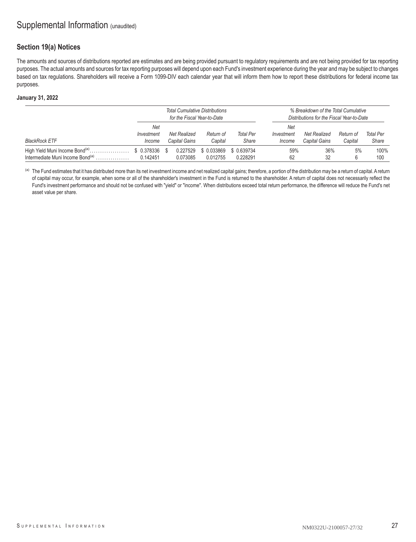### **Section 19(a) Notices**

The amounts and sources of distributions reported are estimates and are being provided pursuant to regulatory requirements and are not being provided for tax reporting purposes. The actual amounts and sources for tax reporting purposes will depend upon each Fund's investment experience during the year and may be subject to changes based on tax regulations. Shareholders will receive a Form 1099-DIV each calendar year that will inform them how to report these distributions for federal income tax purposes.

#### **January 31, 2022**

|                                                                                                        | <b>Total Cumulative Distributions</b><br>for the Fiscal Year-to-Date |                               |                         |                           |                             | % Breakdown of the Total Cumulative<br>Distributions for the Fiscal Year-to-Date |                      |                           |
|--------------------------------------------------------------------------------------------------------|----------------------------------------------------------------------|-------------------------------|-------------------------|---------------------------|-----------------------------|----------------------------------------------------------------------------------|----------------------|---------------------------|
| <b>BlackRock ETF</b>                                                                                   | Net<br>Investment<br>Income                                          | Net Realized<br>Capital Gains | Return of<br>Capital    | <b>Total Per</b><br>Share | Net<br>Investment<br>Income | Net Realized<br>Capital Gains                                                    | Return of<br>Capital | <b>Total Per</b><br>Share |
| High Yield Muni Income Bond <sup>(a)</sup> \$ 0.378336<br>Intermediate Muni Income Bond <sup>(a)</sup> | 0.142451                                                             | 0.227529<br>- \$<br>0.073085  | \$ 0.033869<br>0.012755 | \$ 0.639734<br>0.228291   | 59%<br>62                   | 36%<br>32                                                                        | 5%<br>6              | 100%<br>100               |

(a) The Fund estimates that it has distributed more than its net investment income and net realized capital gains; therefore, a portion of the distribution may be a return of capital. A return of capital may occur, for example, when some or all of the shareholder's investment in the Fund is returned to the shareholder. A return of capital does not necessarily reflect the Fund's investment performance and should not be confused with "yield" or "income". When distributions exceed total return performance, the difference will reduce the Fund's net asset value per share.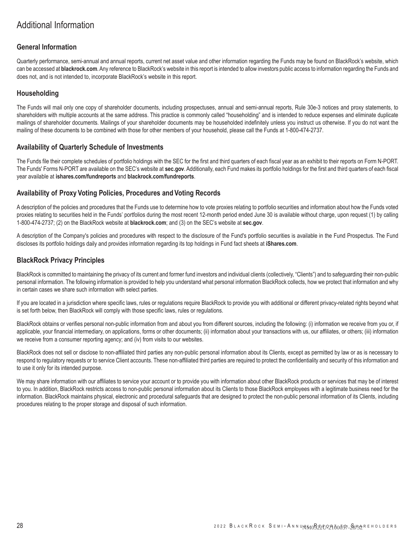### Additional Information

#### **General Information**

Quarterly performance, semi-annual and annual reports, current net asset value and other information regarding the Funds may be found on BlackRock's website, which can be accessed at **blackrock.com**. Any reference to BlackRock's website in this report is intended to allow investors public access to information regarding the Funds and does not, and is not intended to, incorporate BlackRock's website in this report.

#### **Householding**

The Funds will mail only one copy of shareholder documents, including prospectuses, annual and semi-annual reports, Rule 30e-3 notices and proxy statements, to shareholders with multiple accounts at the same address. This practice is commonly called "householding" and is intended to reduce expenses and eliminate duplicate mailings of shareholder documents. Mailings of your shareholder documents may be householded indefinitely unless you instruct us otherwise. If you do not want the mailing of these documents to be combined with those for other members of your household, please call the Funds at 1-800-474-2737.

#### **Availability of Quarterly Schedule of Investments**

The Funds file their complete schedules of portfolio holdings with the SEC for the first and third quarters of each fiscal year as an exhibit to their reports on Form N-PORT. The Funds' Forms N-PORT are available on the SEC's website at **sec.gov**. Additionally, each Fund makes its portfolio holdings for the first and third quarters of each fiscal year available at **ishares.com/fundreports** and **blackrock.com/fundreports**.

#### **Availability of Proxy Voting Policies, Procedures and Voting Records**

A description of the policies and procedures that the Funds use to determine how to vote proxies relating to portfolio securities and information about how the Funds voted proxies relating to securities held in the Funds' portfolios during the most recent 12-month period ended June 30 is available without charge, upon request (1) by calling 1-800-474-2737; (2) on the BlackRock website at **blackrock.com**; and (3) on the SEC's website at **sec.gov**.

A description of the Company's policies and procedures with respect to the disclosure of the Fund's portfolio securities is available in the Fund Prospectus. The Fund discloses its portfolio holdings daily and provides information regarding its top holdings in Fund fact sheets at **iShares.com**.

#### **BlackRock Privacy Principles**

BlackRock is committed to maintaining the privacy of its current and former fund investors and individual clients (collectively, "Clients") and to safeguarding their non-public personal information. The following information is provided to help you understand what personal information BlackRock collects, how we protect that information and why in certain cases we share such information with select parties.

If you are located in a jurisdiction where specific laws, rules or regulations require BlackRock to provide you with additional or different privacy-related rights beyond what is set forth below, then BlackRock will comply with those specific laws, rules or regulations.

BlackRock obtains or verifies personal non-public information from and about you from different sources, including the following: (i) information we receive from you or, if applicable, your financial intermediary, on applications, forms or other documents; (ii) information about your transactions with us, our affiliates, or others; (iii) information we receive from a consumer reporting agency; and (iv) from visits to our websites.

BlackRock does not sell or disclose to non-affiliated third parties any non-public personal information about its Clients, except as permitted by law or as is necessary to respond to regulatory requests or to service Client accounts. These non-affiliated third parties are required to protect the confidentiality and security of this information and to use it only for its intended purpose.

We may share information with our affiliates to service your account or to provide you with information about other BlackRock products or services that may be of interest to you. In addition, BlackRock restricts access to non-public personal information about its Clients to those BlackRock employees with a legitimate business need for the information. BlackRock maintains physical, electronic and procedural safeguards that are designed to protect the non-public personal information of its Clients, including procedures relating to the proper storage and disposal of such information.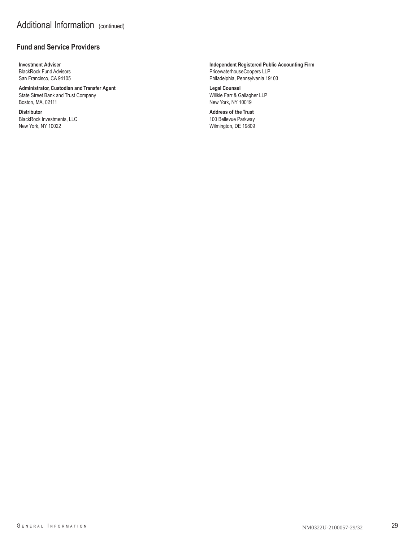### **Fund and Service Providers**

BlackRock Fund Advisors San Francisco, CA 94105

Administrator, Custodian and Transfer Agent **Administrator**, Custodian and Transfer Agent State Street Bank and Trust Company Boston, MA, 02111

**Distributor Address of the Trust** BlackRock Investments, LLC New York, NY 10022

**Investment Adviser Independent Registered Public Accounting Firm** PricewaterhouseCoopers LLP Philadelphia, Pennsylvania 19103

> Willkie Farr & Gallagher LLP New York, NY 10019

100 Bellevue Parkway Wilmington, DE 19809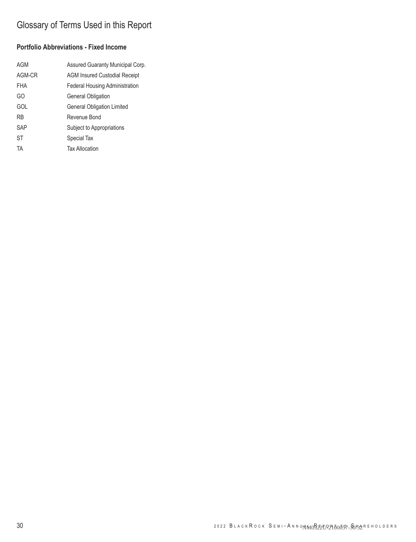## Glossary of Terms Used in this Report

### **Portfolio Abbreviations - Fixed Income**

| AGM        | Assured Guaranty Municipal Corp.     |
|------------|--------------------------------------|
| AGM-CR     | <b>AGM Insured Custodial Receipt</b> |
| FHA        | Federal Housing Administration       |
| GO         | <b>General Obligation</b>            |
| <b>GOL</b> | <b>General Obligation Limited</b>    |
| RB         | Revenue Bond                         |
| SAP        | Subject to Appropriations            |
| ST         | Special Tax                          |
| TA         | <b>Tax Allocation</b>                |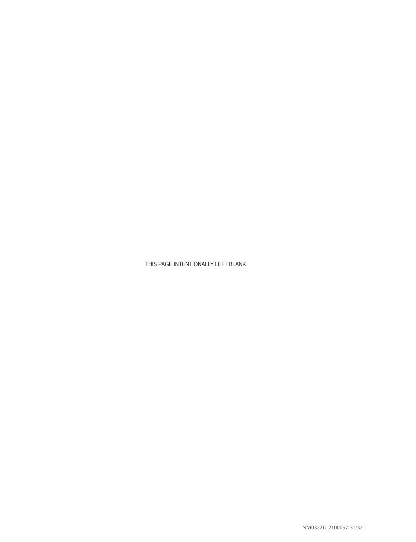THIS PAGE INTENTIONALLY LEFT BLANK.